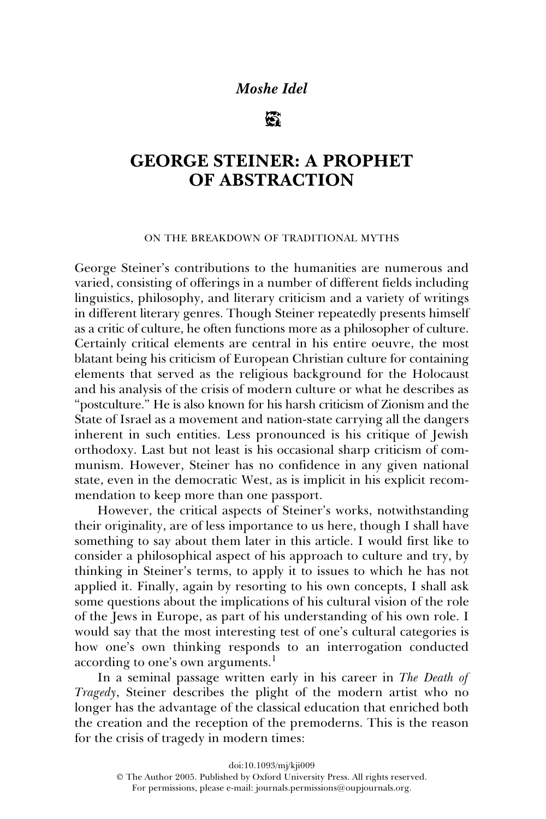## *Moshe Idel*

# €

# **GEORGE STEINER: A PROPHET OF ABSTRACTION**

## ON THE BREAKDOWN OF TRADITIONAL MYTHS

George Steiner's contributions to the humanities are numerous and varied, consisting of offerings in a number of different fields including linguistics, philosophy, and literary criticism and a variety of writings in different literary genres. Though Steiner repeatedly presents himself as a critic of culture, he often functions more as a philosopher of culture. Certainly critical elements are central in his entire oeuvre, the most blatant being his criticism of European Christian culture for containing elements that served as the religious background for the Holocaust and his analysis of the crisis of modern culture or what he describes as "postculture." He is also known for his harsh criticism of Zionism and the State of Israel as a movement and nation-state carrying all the dangers inherent in such entities. Less pronounced is his critique of Jewish orthodoxy. Last but not least is his occasional sharp criticism of communism. However, Steiner has no confidence in any given national state, even in the democratic West, as is implicit in his explicit recommendation to keep more than one passport.

However, the critical aspects of Steiner's works, notwithstanding their originality, are of less importance to us here, though I shall have something to say about them later in this article. I would first like to consider a philosophical aspect of his approach to culture and try, by thinking in Steiner's terms, to apply it to issues to which he has not applied it. Finally, again by resorting to his own concepts, I shall ask some questions about the implications of his cultural vision of the role of the Jews in Europe, as part of his understanding of his own role. I would say that the most interesting test of one's cultural categories is how one's own thinking responds to an interrogation conducted according to one's own arguments.<sup>1</sup>

In a seminal passage written early in his career in *The Death of Tragedy*, Steiner describes the plight of the modern artist who no longer has the advantage of the classical education that enriched both the creation and the reception of the premoderns. This is the reason for the crisis of tragedy in modern times:

doi:10.1093/mj/kji009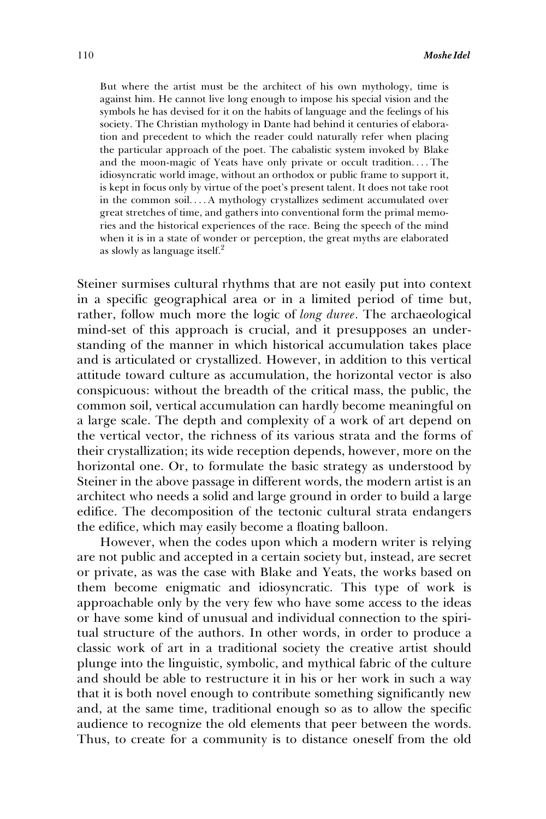But where the artist must be the architect of his own mythology, time is against him. He cannot live long enough to impose his special vision and the symbols he has devised for it on the habits of language and the feelings of his society. The Christian mythology in Dante had behind it centuries of elaboration and precedent to which the reader could naturally refer when placing the particular approach of the poet. The cabalistic system invoked by Blake and the moon-magic of Yeats have only private or occult tradition. . . . The idiosyncratic world image, without an orthodox or public frame to support it, is kept in focus only by virtue of the poet's present talent. It does not take root in the common soil. . . . A mythology crystallizes sediment accumulated over great stretches of time, and gathers into conventional form the primal memories and the historical experiences of the race. Being the speech of the mind when it is in a state of wonder or perception, the great myths are elaborated as slowly as language itself.2

Steiner surmises cultural rhythms that are not easily put into context in a specific geographical area or in a limited period of time but, rather, follow much more the logic of *long duree*. The archaeological mind-set of this approach is crucial, and it presupposes an understanding of the manner in which historical accumulation takes place and is articulated or crystallized. However, in addition to this vertical attitude toward culture as accumulation, the horizontal vector is also conspicuous: without the breadth of the critical mass, the public, the common soil, vertical accumulation can hardly become meaningful on a large scale. The depth and complexity of a work of art depend on the vertical vector, the richness of its various strata and the forms of their crystallization; its wide reception depends, however, more on the horizontal one. Or, to formulate the basic strategy as understood by Steiner in the above passage in different words, the modern artist is an architect who needs a solid and large ground in order to build a large edifice. The decomposition of the tectonic cultural strata endangers the edifice, which may easily become a floating balloon.

However, when the codes upon which a modern writer is relying are not public and accepted in a certain society but, instead, are secret or private, as was the case with Blake and Yeats, the works based on them become enigmatic and idiosyncratic. This type of work is approachable only by the very few who have some access to the ideas or have some kind of unusual and individual connection to the spiritual structure of the authors. In other words, in order to produce a classic work of art in a traditional society the creative artist should plunge into the linguistic, symbolic, and mythical fabric of the culture and should be able to restructure it in his or her work in such a way that it is both novel enough to contribute something significantly new and, at the same time, traditional enough so as to allow the specific audience to recognize the old elements that peer between the words. Thus, to create for a community is to distance oneself from the old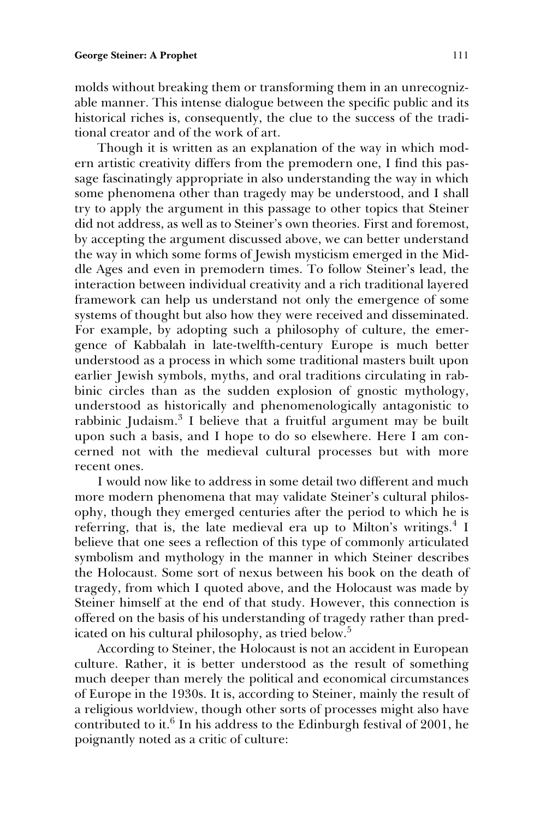molds without breaking them or transforming them in an unrecognizable manner. This intense dialogue between the specific public and its historical riches is, consequently, the clue to the success of the traditional creator and of the work of art.

Though it is written as an explanation of the way in which modern artistic creativity differs from the premodern one, I find this passage fascinatingly appropriate in also understanding the way in which some phenomena other than tragedy may be understood, and I shall try to apply the argument in this passage to other topics that Steiner did not address, as well as to Steiner's own theories. First and foremost, by accepting the argument discussed above, we can better understand the way in which some forms of Jewish mysticism emerged in the Middle Ages and even in premodern times. To follow Steiner's lead, the interaction between individual creativity and a rich traditional layered framework can help us understand not only the emergence of some systems of thought but also how they were received and disseminated. For example, by adopting such a philosophy of culture, the emergence of Kabbalah in late-twelfth-century Europe is much better understood as a process in which some traditional masters built upon earlier Jewish symbols, myths, and oral traditions circulating in rabbinic circles than as the sudden explosion of gnostic mythology, understood as historically and phenomenologically antagonistic to rabbinic Judaism. $^3$  I believe that a fruitful argument may be built upon such a basis, and I hope to do so elsewhere. Here I am concerned not with the medieval cultural processes but with more recent ones.

I would now like to address in some detail two different and much more modern phenomena that may validate Steiner's cultural philosophy, though they emerged centuries after the period to which he is referring, that is, the late medieval era up to Milton's writings.<sup>4</sup> I believe that one sees a reflection of this type of commonly articulated symbolism and mythology in the manner in which Steiner describes the Holocaust. Some sort of nexus between his book on the death of tragedy, from which I quoted above, and the Holocaust was made by Steiner himself at the end of that study. However, this connection is offered on the basis of his understanding of tragedy rather than predicated on his cultural philosophy, as tried below.<sup>5</sup>

According to Steiner, the Holocaust is not an accident in European culture. Rather, it is better understood as the result of something much deeper than merely the political and economical circumstances of Europe in the 1930s. It is, according to Steiner, mainly the result of a religious worldview, though other sorts of processes might also have contributed to it.<sup>6</sup> In his address to the Edinburgh festival of 2001, he poignantly noted as a critic of culture: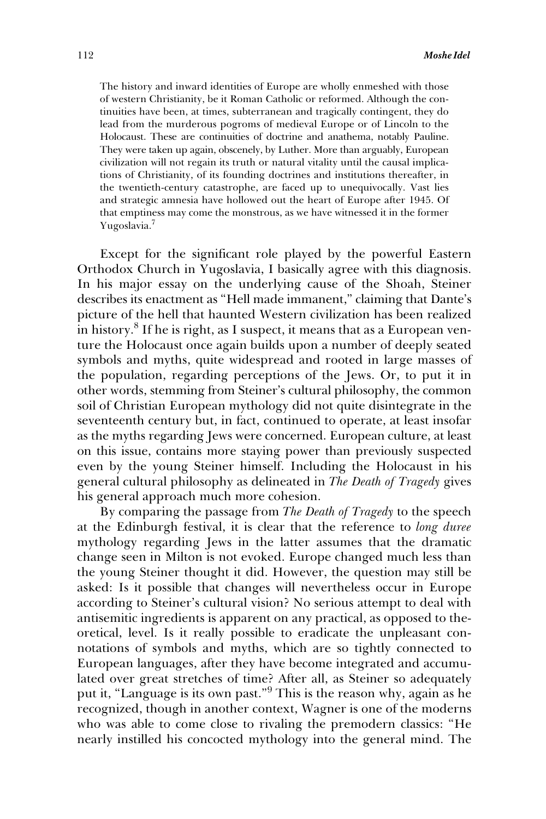The history and inward identities of Europe are wholly enmeshed with those of western Christianity, be it Roman Catholic or reformed. Although the continuities have been, at times, subterranean and tragically contingent, they do lead from the murderous pogroms of medieval Europe or of Lincoln to the Holocaust. These are continuities of doctrine and anathema, notably Pauline. They were taken up again, obscenely, by Luther. More than arguably, European civilization will not regain its truth or natural vitality until the causal implications of Christianity, of its founding doctrines and institutions thereafter, in the twentieth-century catastrophe, are faced up to unequivocally. Vast lies and strategic amnesia have hollowed out the heart of Europe after 1945. Of that emptiness may come the monstrous, as we have witnessed it in the former Yugoslavia.<sup>7</sup>

Except for the significant role played by the powerful Eastern Orthodox Church in Yugoslavia, I basically agree with this diagnosis. In his major essay on the underlying cause of the Shoah, Steiner describes its enactment as "Hell made immanent," claiming that Dante's picture of the hell that haunted Western civilization has been realized  $\mathrm{i}$ n history. $^8$  If he is right, as I suspect, it means that as a European venture the Holocaust once again builds upon a number of deeply seated symbols and myths, quite widespread and rooted in large masses of the population, regarding perceptions of the Jews. Or, to put it in other words, stemming from Steiner's cultural philosophy, the common soil of Christian European mythology did not quite disintegrate in the seventeenth century but, in fact, continued to operate, at least insofar as the myths regarding Jews were concerned. European culture, at least on this issue, contains more staying power than previously suspected even by the young Steiner himself. Including the Holocaust in his general cultural philosophy as delineated in *The Death of Tragedy* gives his general approach much more cohesion.

By comparing the passage from *The Death of Tragedy* to the speech at the Edinburgh festival, it is clear that the reference to *long duree* mythology regarding Jews in the latter assumes that the dramatic change seen in Milton is not evoked. Europe changed much less than the young Steiner thought it did. However, the question may still be asked: Is it possible that changes will nevertheless occur in Europe according to Steiner's cultural vision? No serious attempt to deal with antisemitic ingredients is apparent on any practical, as opposed to theoretical, level. Is it really possible to eradicate the unpleasant connotations of symbols and myths, which are so tightly connected to European languages, after they have become integrated and accumulated over great stretches of time? After all, as Steiner so adequately put it, "Language is its own past."<sup>9</sup> This is the reason why, again as he recognized, though in another context, Wagner is one of the moderns who was able to come close to rivaling the premodern classics: "He nearly instilled his concocted mythology into the general mind. The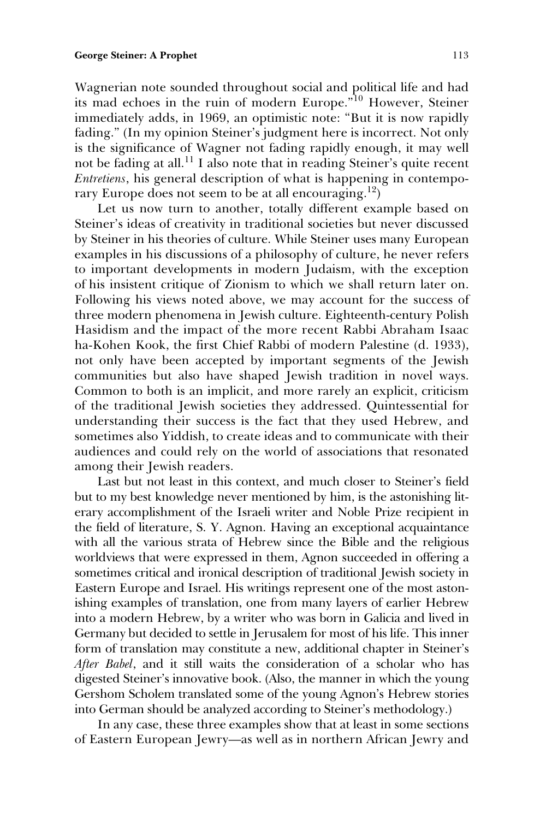Wagnerian note sounded throughout social and political life and had its mad echoes in the ruin of modern Europe."10 However, Steiner immediately adds, in 1969, an optimistic note: "But it is now rapidly fading." (In my opinion Steiner's judgment here is incorrect. Not only is the significance of Wagner not fading rapidly enough, it may well not be fading at all.<sup>11</sup> I also note that in reading Steiner's quite recent *Entretiens*, his general description of what is happening in contemporary Europe does not seem to be at all encouraging.<sup>12</sup>)

Let us now turn to another, totally different example based on Steiner's ideas of creativity in traditional societies but never discussed by Steiner in his theories of culture. While Steiner uses many European examples in his discussions of a philosophy of culture, he never refers to important developments in modern Judaism, with the exception of his insistent critique of Zionism to which we shall return later on. Following his views noted above, we may account for the success of three modern phenomena in Jewish culture. Eighteenth-century Polish Hasidism and the impact of the more recent Rabbi Abraham Isaac ha-Kohen Kook, the first Chief Rabbi of modern Palestine (d. 1933), not only have been accepted by important segments of the Jewish communities but also have shaped Jewish tradition in novel ways. Common to both is an implicit, and more rarely an explicit, criticism of the traditional Jewish societies they addressed. Quintessential for understanding their success is the fact that they used Hebrew, and sometimes also Yiddish, to create ideas and to communicate with their audiences and could rely on the world of associations that resonated among their Jewish readers.

Last but not least in this context, and much closer to Steiner's field but to my best knowledge never mentioned by him, is the astonishing literary accomplishment of the Israeli writer and Noble Prize recipient in the field of literature, S. Y. Agnon. Having an exceptional acquaintance with all the various strata of Hebrew since the Bible and the religious worldviews that were expressed in them, Agnon succeeded in offering a sometimes critical and ironical description of traditional Jewish society in Eastern Europe and Israel. His writings represent one of the most astonishing examples of translation, one from many layers of earlier Hebrew into a modern Hebrew, by a writer who was born in Galicia and lived in Germany but decided to settle in Jerusalem for most of his life. This inner form of translation may constitute a new, additional chapter in Steiner's *After Babel*, and it still waits the consideration of a scholar who has digested Steiner's innovative book. (Also, the manner in which the young Gershom Scholem translated some of the young Agnon's Hebrew stories into German should be analyzed according to Steiner's methodology.)

In any case, these three examples show that at least in some sections of Eastern European Jewry—as well as in northern African Jewry and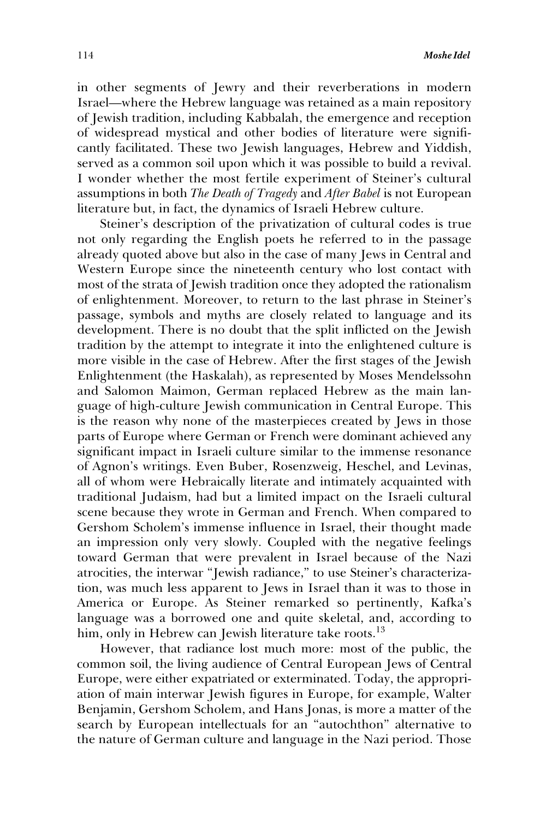in other segments of Jewry and their reverberations in modern Israel—where the Hebrew language was retained as a main repository of Jewish tradition, including Kabbalah, the emergence and reception of widespread mystical and other bodies of literature were significantly facilitated. These two Jewish languages, Hebrew and Yiddish, served as a common soil upon which it was possible to build a revival. I wonder whether the most fertile experiment of Steiner's cultural assumptions in both *The Death of Tragedy* and *After Babel* is not European literature but, in fact, the dynamics of Israeli Hebrew culture.

Steiner's description of the privatization of cultural codes is true not only regarding the English poets he referred to in the passage already quoted above but also in the case of many Jews in Central and Western Europe since the nineteenth century who lost contact with most of the strata of Jewish tradition once they adopted the rationalism of enlightenment. Moreover, to return to the last phrase in Steiner's passage, symbols and myths are closely related to language and its development. There is no doubt that the split inflicted on the Jewish tradition by the attempt to integrate it into the enlightened culture is more visible in the case of Hebrew. After the first stages of the Jewish Enlightenment (the Haskalah), as represented by Moses Mendelssohn and Salomon Maimon, German replaced Hebrew as the main language of high-culture Jewish communication in Central Europe. This is the reason why none of the masterpieces created by Jews in those parts of Europe where German or French were dominant achieved any significant impact in Israeli culture similar to the immense resonance of Agnon's writings. Even Buber, Rosenzweig, Heschel, and Levinas, all of whom were Hebraically literate and intimately acquainted with traditional Judaism, had but a limited impact on the Israeli cultural scene because they wrote in German and French. When compared to Gershom Scholem's immense influence in Israel, their thought made an impression only very slowly. Coupled with the negative feelings toward German that were prevalent in Israel because of the Nazi atrocities, the interwar "Jewish radiance," to use Steiner's characterization, was much less apparent to Jews in Israel than it was to those in America or Europe. As Steiner remarked so pertinently, Kafka's language was a borrowed one and quite skeletal, and, according to him, only in Hebrew can Jewish literature take roots.<sup>13</sup>

However, that radiance lost much more: most of the public, the common soil, the living audience of Central European Jews of Central Europe, were either expatriated or exterminated. Today, the appropriation of main interwar Jewish figures in Europe, for example, Walter Benjamin, Gershom Scholem, and Hans Jonas, is more a matter of the search by European intellectuals for an "autochthon" alternative to the nature of German culture and language in the Nazi period. Those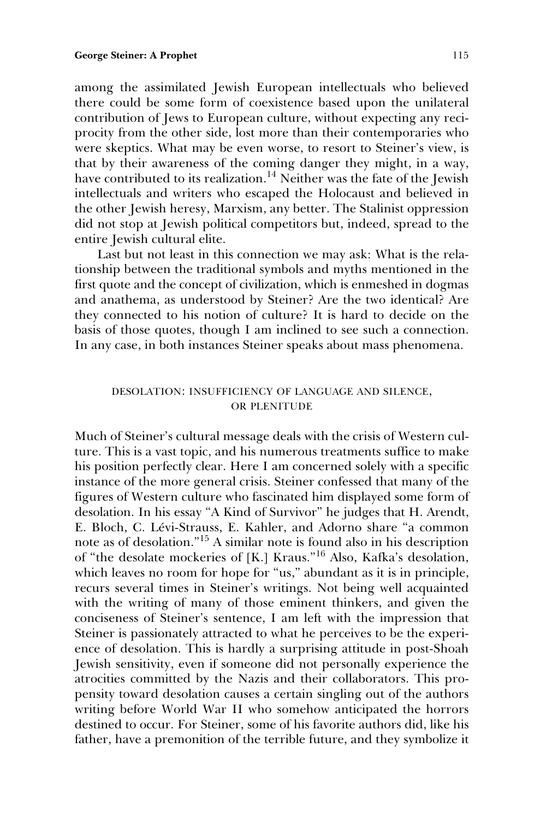among the assimilated Jewish European intellectuals who believed there could be some form of coexistence based upon the unilateral contribution of Jews to European culture, without expecting any reciprocity from the other side, lost more than their contemporaries who were skeptics. What may be even worse, to resort to Steiner's view, is that by their awareness of the coming danger they might, in a way, have contributed to its realization.<sup>14</sup> Neither was the fate of the Jewish intellectuals and writers who escaped the Holocaust and believed in the other Jewish heresy, Marxism, any better. The Stalinist oppression did not stop at Jewish political competitors but, indeed, spread to the entire Jewish cultural elite.

Last but not least in this connection we may ask: What is the relationship between the traditional symbols and myths mentioned in the first quote and the concept of civilization, which is enmeshed in dogmas and anathema, as understood by Steiner? Are the two identical? Are they connected to his notion of culture? It is hard to decide on the basis of those quotes, though I am inclined to see such a connection. In any case, in both instances Steiner speaks about mass phenomena.

## DESOLATION: INSUFFICIENCY OF LANGUAGE AND SILENCE, OR PLENITUDE

Much of Steiner's cultural message deals with the crisis of Western culture. This is a vast topic, and his numerous treatments suffice to make his position perfectly clear. Here I am concerned solely with a specific instance of the more general crisis. Steiner confessed that many of the figures of Western culture who fascinated him displayed some form of desolation. In his essay "A Kind of Survivor" he judges that H. Arendt, E. Bloch, C. Lévi-Strauss, E. Kahler, and Adorno share "a common note as of desolation."15 A similar note is found also in his description of "the desolate mockeries of [K.] Kraus."16 Also, Kafka's desolation, which leaves no room for hope for "us," abundant as it is in principle, recurs several times in Steiner's writings. Not being well acquainted with the writing of many of those eminent thinkers, and given the conciseness of Steiner's sentence, I am left with the impression that Steiner is passionately attracted to what he perceives to be the experience of desolation. This is hardly a surprising attitude in post-Shoah Jewish sensitivity, even if someone did not personally experience the atrocities committed by the Nazis and their collaborators. This propensity toward desolation causes a certain singling out of the authors writing before World War II who somehow anticipated the horrors destined to occur. For Steiner, some of his favorite authors did, like his father, have a premonition of the terrible future, and they symbolize it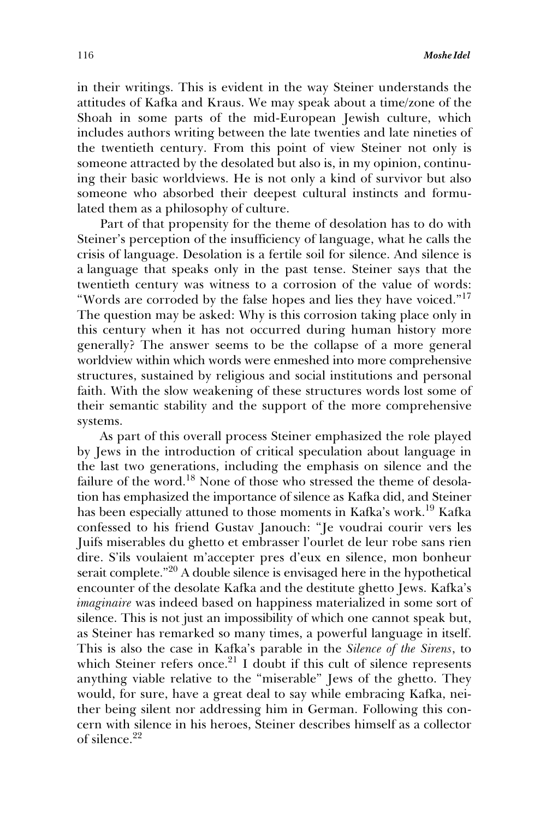in their writings. This is evident in the way Steiner understands the attitudes of Kafka and Kraus. We may speak about a time/zone of the Shoah in some parts of the mid-European Jewish culture, which includes authors writing between the late twenties and late nineties of the twentieth century. From this point of view Steiner not only is someone attracted by the desolated but also is, in my opinion, continuing their basic worldviews. He is not only a kind of survivor but also someone who absorbed their deepest cultural instincts and formulated them as a philosophy of culture.

Part of that propensity for the theme of desolation has to do with Steiner's perception of the insufficiency of language, what he calls the crisis of language. Desolation is a fertile soil for silence. And silence is a language that speaks only in the past tense. Steiner says that the twentieth century was witness to a corrosion of the value of words: "Words are corroded by the false hopes and lies they have voiced."<sup>17</sup> The question may be asked: Why is this corrosion taking place only in this century when it has not occurred during human history more generally? The answer seems to be the collapse of a more general worldview within which words were enmeshed into more comprehensive structures, sustained by religious and social institutions and personal faith. With the slow weakening of these structures words lost some of their semantic stability and the support of the more comprehensive systems.

As part of this overall process Steiner emphasized the role played by Jews in the introduction of critical speculation about language in the last two generations, including the emphasis on silence and the failure of the word.<sup>18</sup> None of those who stressed the theme of desolation has emphasized the importance of silence as Kafka did, and Steiner has been especially attuned to those moments in Kafka's work.<sup>19</sup> Kafka confessed to his friend Gustav Janouch: "Je voudrai courir vers les Juifs miserables du ghetto et embrasser l'ourlet de leur robe sans rien dire. S'ils voulaient m'accepter pres d'eux en silence, mon bonheur serait complete."<sup>20</sup> A double silence is envisaged here in the hypothetical encounter of the desolate Kafka and the destitute ghetto Jews. Kafka's *imaginaire* was indeed based on happiness materialized in some sort of silence. This is not just an impossibility of which one cannot speak but, as Steiner has remarked so many times, a powerful language in itself. This is also the case in Kafka's parable in the *Silence of the Sirens*, to which Steiner refers once.<sup>21</sup> I doubt if this cult of silence represents anything viable relative to the "miserable" Jews of the ghetto. They would, for sure, have a great deal to say while embracing Kafka, neither being silent nor addressing him in German. Following this concern with silence in his heroes, Steiner describes himself as a collector of silence.22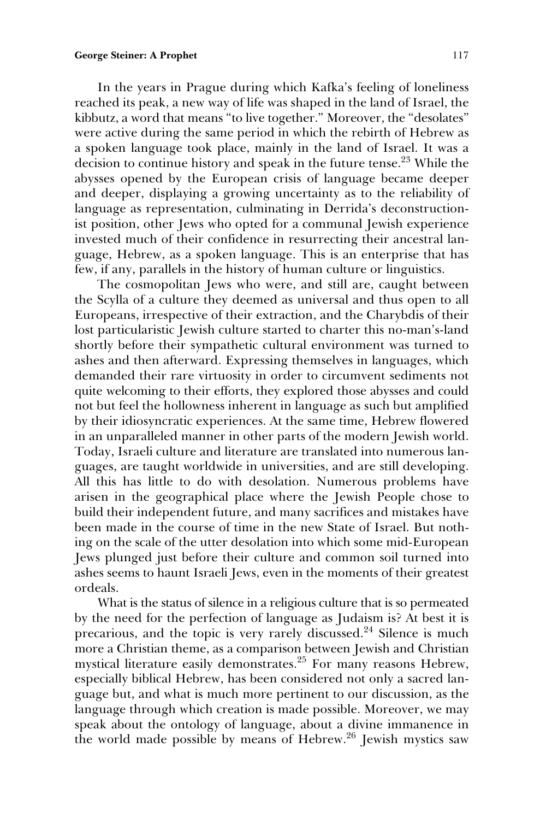In the years in Prague during which Kafka's feeling of loneliness reached its peak, a new way of life was shaped in the land of Israel, the kibbutz, a word that means "to live together." Moreover, the "desolates" were active during the same period in which the rebirth of Hebrew as a spoken language took place, mainly in the land of Israel. It was a decision to continue history and speak in the future tense.<sup>23</sup> While the abysses opened by the European crisis of language became deeper and deeper, displaying a growing uncertainty as to the reliability of language as representation, culminating in Derrida's deconstructionist position, other Jews who opted for a communal Jewish experience invested much of their confidence in resurrecting their ancestral language, Hebrew, as a spoken language. This is an enterprise that has few, if any, parallels in the history of human culture or linguistics.

The cosmopolitan Jews who were, and still are, caught between the Scylla of a culture they deemed as universal and thus open to all Europeans, irrespective of their extraction, and the Charybdis of their lost particularistic Jewish culture started to charter this no-man's-land shortly before their sympathetic cultural environment was turned to ashes and then afterward. Expressing themselves in languages, which demanded their rare virtuosity in order to circumvent sediments not quite welcoming to their efforts, they explored those abysses and could not but feel the hollowness inherent in language as such but amplified by their idiosyncratic experiences. At the same time, Hebrew flowered in an unparalleled manner in other parts of the modern Jewish world. Today, Israeli culture and literature are translated into numerous languages, are taught worldwide in universities, and are still developing. All this has little to do with desolation. Numerous problems have arisen in the geographical place where the Jewish People chose to build their independent future, and many sacrifices and mistakes have been made in the course of time in the new State of Israel. But nothing on the scale of the utter desolation into which some mid-European Jews plunged just before their culture and common soil turned into ashes seems to haunt Israeli Jews, even in the moments of their greatest ordeals.

What is the status of silence in a religious culture that is so permeated by the need for the perfection of language as Judaism is? At best it is precarious, and the topic is very rarely discussed.<sup>24</sup> Silence is much more a Christian theme, as a comparison between Jewish and Christian mystical literature easily demonstrates.25 For many reasons Hebrew, especially biblical Hebrew, has been considered not only a sacred language but, and what is much more pertinent to our discussion, as the language through which creation is made possible. Moreover, we may speak about the ontology of language, about a divine immanence in the world made possible by means of Hebrew.<sup>26</sup> Jewish mystics saw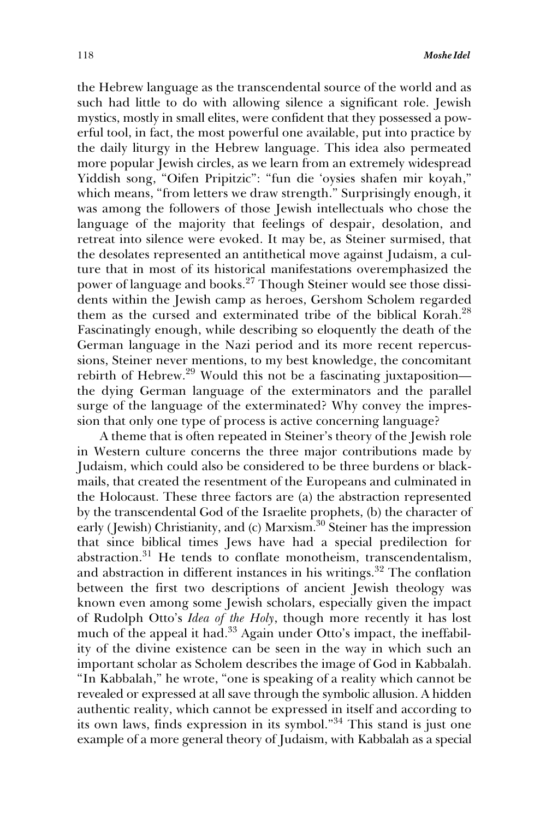the Hebrew language as the transcendental source of the world and as such had little to do with allowing silence a significant role. Jewish mystics, mostly in small elites, were confident that they possessed a powerful tool, in fact, the most powerful one available, put into practice by the daily liturgy in the Hebrew language. This idea also permeated more popular Jewish circles, as we learn from an extremely widespread Yiddish song, "Oifen Pripitzic": "fun die 'oysies shafen mir koyah," which means, "from letters we draw strength." Surprisingly enough, it was among the followers of those Jewish intellectuals who chose the language of the majority that feelings of despair, desolation, and retreat into silence were evoked. It may be, as Steiner surmised, that the desolates represented an antithetical move against Judaism, a culture that in most of its historical manifestations overemphasized the power of language and books.<sup>27</sup> Though Steiner would see those dissidents within the Jewish camp as heroes, Gershom Scholem regarded them as the cursed and exterminated tribe of the biblical Korah.<sup>28</sup> Fascinatingly enough, while describing so eloquently the death of the German language in the Nazi period and its more recent repercussions, Steiner never mentions, to my best knowledge, the concomitant rebirth of Hebrew.<sup>29</sup> Would this not be a fascinating juxtaposition the dying German language of the exterminators and the parallel surge of the language of the exterminated? Why convey the impression that only one type of process is active concerning language?

A theme that is often repeated in Steiner's theory of the Jewish role in Western culture concerns the three major contributions made by Judaism, which could also be considered to be three burdens or blackmails, that created the resentment of the Europeans and culminated in the Holocaust. These three factors are (a) the abstraction represented by the transcendental God of the Israelite prophets, (b) the character of early (Jewish) Christianity, and (c) Marxism.<sup>30</sup> Steiner has the impression that since biblical times Jews have had a special predilection for abstraction.31 He tends to conflate monotheism, transcendentalism, and abstraction in different instances in his writings.<sup>32</sup> The conflation between the first two descriptions of ancient Jewish theology was known even among some Jewish scholars, especially given the impact of Rudolph Otto's *Idea of the Holy*, though more recently it has lost much of the appeal it had.<sup>33</sup> Again under Otto's impact, the ineffability of the divine existence can be seen in the way in which such an important scholar as Scholem describes the image of God in Kabbalah. "In Kabbalah," he wrote, "one is speaking of a reality which cannot be revealed or expressed at all save through the symbolic allusion. A hidden authentic reality, which cannot be expressed in itself and according to its own laws, finds expression in its symbol."34 This stand is just one example of a more general theory of Judaism, with Kabbalah as a special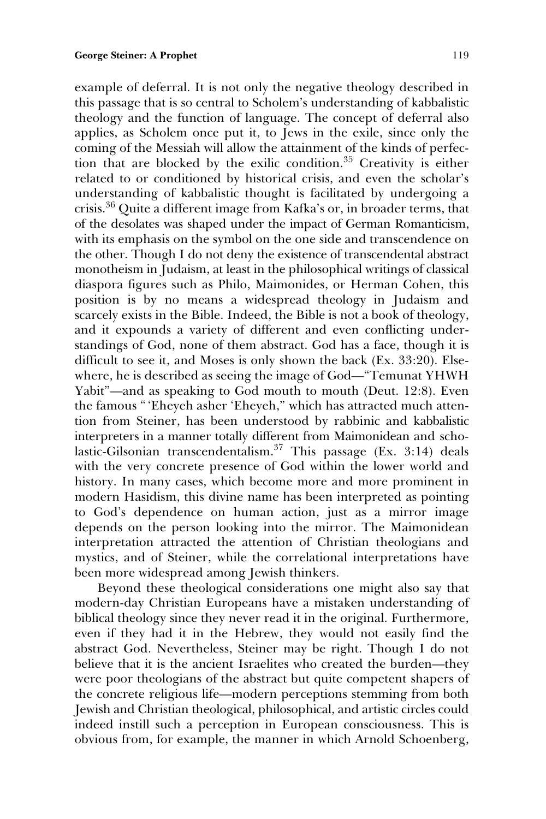example of deferral. It is not only the negative theology described in this passage that is so central to Scholem's understanding of kabbalistic theology and the function of language. The concept of deferral also applies, as Scholem once put it, to Jews in the exile, since only the coming of the Messiah will allow the attainment of the kinds of perfection that are blocked by the exilic condition.35 Creativity is either related to or conditioned by historical crisis, and even the scholar's understanding of kabbalistic thought is facilitated by undergoing a crisis.36 Quite a different image from Kafka's or, in broader terms, that of the desolates was shaped under the impact of German Romanticism, with its emphasis on the symbol on the one side and transcendence on the other. Though I do not deny the existence of transcendental abstract monotheism in Judaism, at least in the philosophical writings of classical diaspora figures such as Philo, Maimonides, or Herman Cohen, this position is by no means a widespread theology in Judaism and scarcely exists in the Bible. Indeed, the Bible is not a book of theology, and it expounds a variety of different and even conflicting understandings of God, none of them abstract. God has a face, though it is difficult to see it, and Moses is only shown the back (Ex. 33:20). Elsewhere, he is described as seeing the image of God—"Temunat YHWH Yabit"—and as speaking to God mouth to mouth (Deut. 12:8). Even the famous " 'Eheyeh asher 'Eheyeh," which has attracted much attention from Steiner, has been understood by rabbinic and kabbalistic interpreters in a manner totally different from Maimonidean and scholastic-Gilsonian transcendentalism.37 This passage (Ex. 3:14) deals with the very concrete presence of God within the lower world and history. In many cases, which become more and more prominent in modern Hasidism, this divine name has been interpreted as pointing to God's dependence on human action, just as a mirror image depends on the person looking into the mirror. The Maimonidean interpretation attracted the attention of Christian theologians and mystics, and of Steiner, while the correlational interpretations have been more widespread among Jewish thinkers.

Beyond these theological considerations one might also say that modern-day Christian Europeans have a mistaken understanding of biblical theology since they never read it in the original. Furthermore, even if they had it in the Hebrew, they would not easily find the abstract God. Nevertheless, Steiner may be right. Though I do not believe that it is the ancient Israelites who created the burden—they were poor theologians of the abstract but quite competent shapers of the concrete religious life—modern perceptions stemming from both Jewish and Christian theological, philosophical, and artistic circles could indeed instill such a perception in European consciousness. This is obvious from, for example, the manner in which Arnold Schoenberg,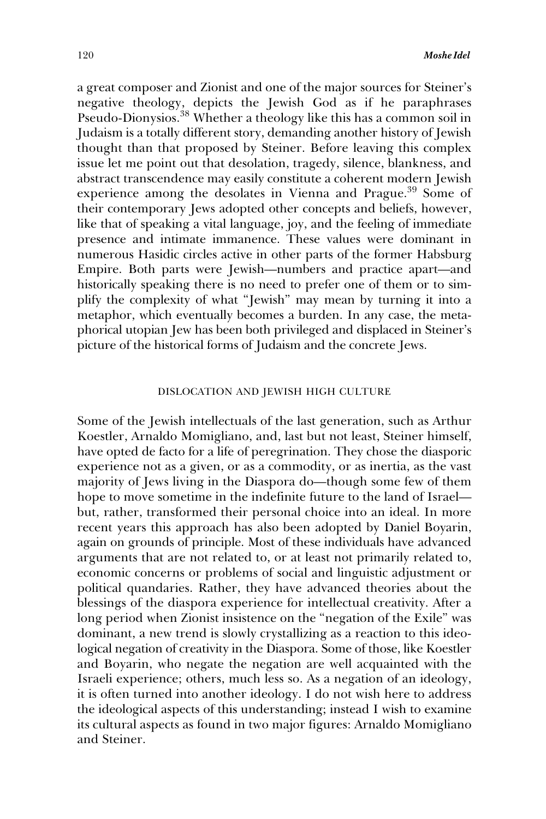a great composer and Zionist and one of the major sources for Steiner's negative theology, depicts the Jewish God as if he paraphrases Pseudo-Dionysios.<sup>38</sup> Whether a theology like this has a common soil in Judaism is a totally different story, demanding another history of Jewish thought than that proposed by Steiner. Before leaving this complex issue let me point out that desolation, tragedy, silence, blankness, and abstract transcendence may easily constitute a coherent modern Jewish experience among the desolates in Vienna and Prague.<sup>39</sup> Some of their contemporary Jews adopted other concepts and beliefs, however, like that of speaking a vital language, joy, and the feeling of immediate presence and intimate immanence. These values were dominant in numerous Hasidic circles active in other parts of the former Habsburg Empire. Both parts were Jewish—numbers and practice apart—and historically speaking there is no need to prefer one of them or to simplify the complexity of what "Jewish" may mean by turning it into a metaphor, which eventually becomes a burden. In any case, the metaphorical utopian Jew has been both privileged and displaced in Steiner's picture of the historical forms of Judaism and the concrete Jews.

#### DISLOCATION AND JEWISH HIGH CULTURE

Some of the Jewish intellectuals of the last generation, such as Arthur Koestler, Arnaldo Momigliano, and, last but not least, Steiner himself, have opted de facto for a life of peregrination. They chose the diasporic experience not as a given, or as a commodity, or as inertia, as the vast majority of Jews living in the Diaspora do—though some few of them hope to move sometime in the indefinite future to the land of Israel but, rather, transformed their personal choice into an ideal. In more recent years this approach has also been adopted by Daniel Boyarin, again on grounds of principle. Most of these individuals have advanced arguments that are not related to, or at least not primarily related to, economic concerns or problems of social and linguistic adjustment or political quandaries. Rather, they have advanced theories about the blessings of the diaspora experience for intellectual creativity. After a long period when Zionist insistence on the "negation of the Exile" was dominant, a new trend is slowly crystallizing as a reaction to this ideological negation of creativity in the Diaspora. Some of those, like Koestler and Boyarin, who negate the negation are well acquainted with the Israeli experience; others, much less so. As a negation of an ideology, it is often turned into another ideology. I do not wish here to address the ideological aspects of this understanding; instead I wish to examine its cultural aspects as found in two major figures: Arnaldo Momigliano and Steiner.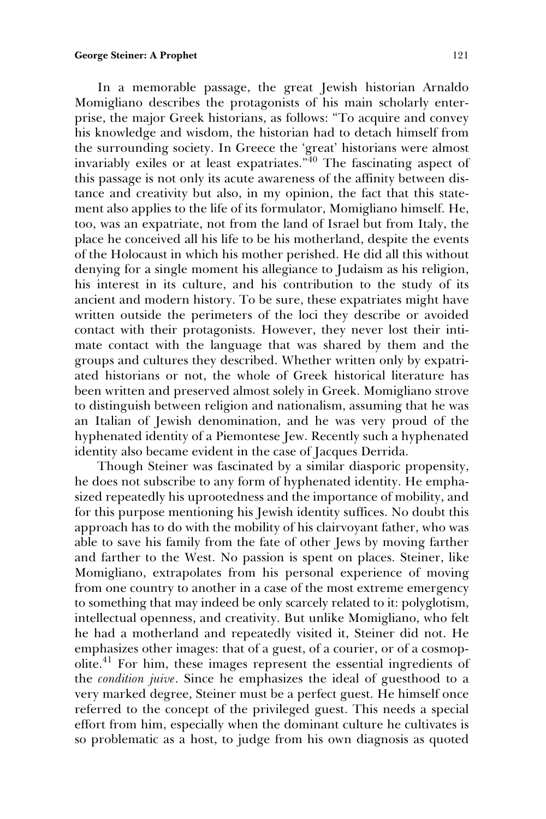#### **George Steiner: A Prophet** 121

In a memorable passage, the great Jewish historian Arnaldo Momigliano describes the protagonists of his main scholarly enterprise, the major Greek historians, as follows: "To acquire and convey his knowledge and wisdom, the historian had to detach himself from the surrounding society. In Greece the 'great' historians were almost invariably exiles or at least expatriates."<sup>40</sup> The fascinating aspect of this passage is not only its acute awareness of the affinity between distance and creativity but also, in my opinion, the fact that this statement also applies to the life of its formulator, Momigliano himself. He, too, was an expatriate, not from the land of Israel but from Italy, the place he conceived all his life to be his motherland, despite the events of the Holocaust in which his mother perished. He did all this without denying for a single moment his allegiance to Judaism as his religion, his interest in its culture, and his contribution to the study of its ancient and modern history. To be sure, these expatriates might have written outside the perimeters of the loci they describe or avoided contact with their protagonists. However, they never lost their intimate contact with the language that was shared by them and the groups and cultures they described. Whether written only by expatriated historians or not, the whole of Greek historical literature has been written and preserved almost solely in Greek. Momigliano strove to distinguish between religion and nationalism, assuming that he was an Italian of Jewish denomination, and he was very proud of the hyphenated identity of a Piemontese Jew. Recently such a hyphenated identity also became evident in the case of Jacques Derrida.

Though Steiner was fascinated by a similar diasporic propensity, he does not subscribe to any form of hyphenated identity. He emphasized repeatedly his uprootedness and the importance of mobility, and for this purpose mentioning his Jewish identity suffices. No doubt this approach has to do with the mobility of his clairvoyant father, who was able to save his family from the fate of other Jews by moving farther and farther to the West. No passion is spent on places. Steiner, like Momigliano, extrapolates from his personal experience of moving from one country to another in a case of the most extreme emergency to something that may indeed be only scarcely related to it: polyglotism, intellectual openness, and creativity. But unlike Momigliano, who felt he had a motherland and repeatedly visited it, Steiner did not. He emphasizes other images: that of a guest, of a courier, or of a cosmopolite.41 For him, these images represent the essential ingredients of the *condition juive*. Since he emphasizes the ideal of guesthood to a very marked degree, Steiner must be a perfect guest. He himself once referred to the concept of the privileged guest. This needs a special effort from him, especially when the dominant culture he cultivates is so problematic as a host, to judge from his own diagnosis as quoted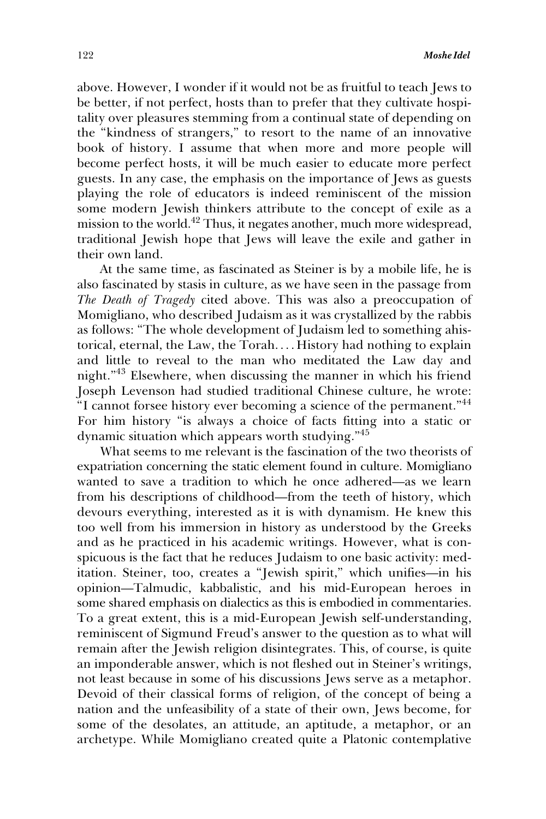above. However, I wonder if it would not be as fruitful to teach Jews to be better, if not perfect, hosts than to prefer that they cultivate hospitality over pleasures stemming from a continual state of depending on the "kindness of strangers," to resort to the name of an innovative book of history. I assume that when more and more people will become perfect hosts, it will be much easier to educate more perfect guests. In any case, the emphasis on the importance of Jews as guests playing the role of educators is indeed reminiscent of the mission some modern Jewish thinkers attribute to the concept of exile as a mission to the world.<sup>42</sup> Thus, it negates another, much more widespread, traditional Jewish hope that Jews will leave the exile and gather in their own land.

At the same time, as fascinated as Steiner is by a mobile life, he is also fascinated by stasis in culture, as we have seen in the passage from *The Death of Tragedy* cited above. This was also a preoccupation of Momigliano, who described Judaism as it was crystallized by the rabbis as follows: "The whole development of Judaism led to something ahistorical, eternal, the Law, the Torah.... History had nothing to explain and little to reveal to the man who meditated the Law day and night."43 Elsewhere, when discussing the manner in which his friend Joseph Levenson had studied traditional Chinese culture, he wrote: "I cannot forsee history ever becoming a science of the permanent."<sup>44</sup> For him history "is always a choice of facts fitting into a static or dynamic situation which appears worth studying."45

What seems to me relevant is the fascination of the two theorists of expatriation concerning the static element found in culture. Momigliano wanted to save a tradition to which he once adhered—as we learn from his descriptions of childhood—from the teeth of history, which devours everything, interested as it is with dynamism. He knew this too well from his immersion in history as understood by the Greeks and as he practiced in his academic writings. However, what is conspicuous is the fact that he reduces Judaism to one basic activity: meditation. Steiner, too, creates a "Jewish spirit," which unifies—in his opinion—Talmudic, kabbalistic, and his mid-European heroes in some shared emphasis on dialectics as this is embodied in commentaries. To a great extent, this is a mid-European Jewish self-understanding, reminiscent of Sigmund Freud's answer to the question as to what will remain after the Jewish religion disintegrates. This, of course, is quite an imponderable answer, which is not fleshed out in Steiner's writings, not least because in some of his discussions Jews serve as a metaphor. Devoid of their classical forms of religion, of the concept of being a nation and the unfeasibility of a state of their own, Jews become, for some of the desolates, an attitude, an aptitude, a metaphor, or an archetype. While Momigliano created quite a Platonic contemplative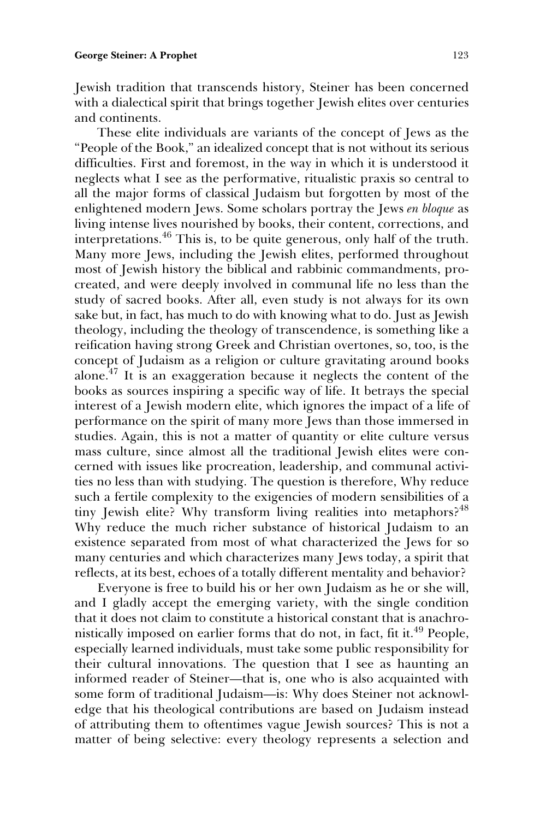#### **George Steiner: A Prophet** 123

Jewish tradition that transcends history, Steiner has been concerned with a dialectical spirit that brings together Jewish elites over centuries and continents.

These elite individuals are variants of the concept of Jews as the "People of the Book," an idealized concept that is not without its serious difficulties. First and foremost, in the way in which it is understood it neglects what I see as the performative, ritualistic praxis so central to all the major forms of classical Judaism but forgotten by most of the enlightened modern Jews. Some scholars portray the Jews *en bloque* as living intense lives nourished by books, their content, corrections, and interpretations.<sup>46</sup> This is, to be quite generous, only half of the truth. Many more Jews, including the Jewish elites, performed throughout most of Jewish history the biblical and rabbinic commandments, procreated, and were deeply involved in communal life no less than the study of sacred books. After all, even study is not always for its own sake but, in fact, has much to do with knowing what to do. Just as Jewish theology, including the theology of transcendence, is something like a reification having strong Greek and Christian overtones, so, too, is the concept of Judaism as a religion or culture gravitating around books alone.<sup>47</sup> It is an exaggeration because it neglects the content of the books as sources inspiring a specific way of life. It betrays the special interest of a Jewish modern elite, which ignores the impact of a life of performance on the spirit of many more Jews than those immersed in studies. Again, this is not a matter of quantity or elite culture versus mass culture, since almost all the traditional Jewish elites were concerned with issues like procreation, leadership, and communal activities no less than with studying. The question is therefore, Why reduce such a fertile complexity to the exigencies of modern sensibilities of a tiny Jewish elite? Why transform living realities into metaphors?  $48$ Why reduce the much richer substance of historical Judaism to an existence separated from most of what characterized the Jews for so many centuries and which characterizes many Jews today, a spirit that reflects, at its best, echoes of a totally different mentality and behavior?

Everyone is free to build his or her own Judaism as he or she will, and I gladly accept the emerging variety, with the single condition that it does not claim to constitute a historical constant that is anachronistically imposed on earlier forms that do not, in fact, fit it.<sup>49</sup> People, especially learned individuals, must take some public responsibility for their cultural innovations. The question that I see as haunting an informed reader of Steiner—that is, one who is also acquainted with some form of traditional Judaism—is: Why does Steiner not acknowledge that his theological contributions are based on Judaism instead of attributing them to oftentimes vague Jewish sources? This is not a matter of being selective: every theology represents a selection and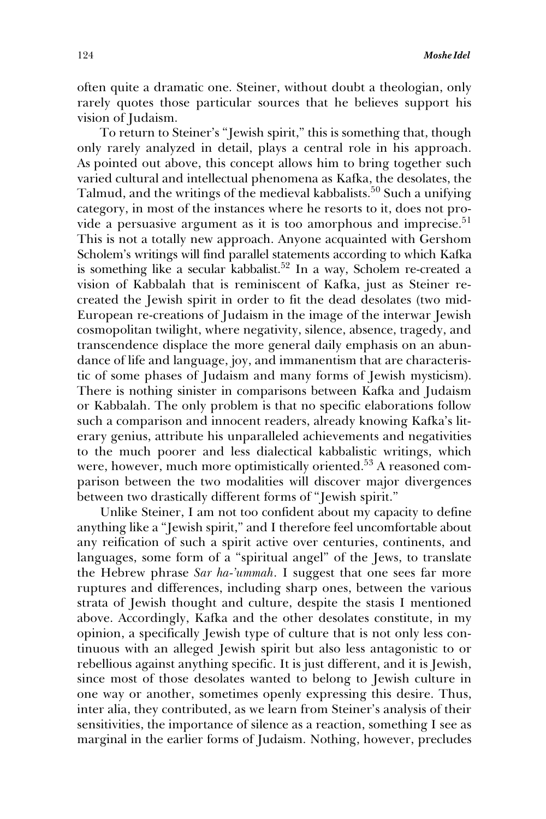often quite a dramatic one. Steiner, without doubt a theologian, only rarely quotes those particular sources that he believes support his vision of Judaism.

To return to Steiner's "Jewish spirit," this is something that, though only rarely analyzed in detail, plays a central role in his approach. As pointed out above, this concept allows him to bring together such varied cultural and intellectual phenomena as Kafka, the desolates, the Talmud, and the writings of the medieval kabbalists.<sup>50</sup> Such a unifying category, in most of the instances where he resorts to it, does not provide a persuasive argument as it is too amorphous and imprecise.<sup>51</sup> This is not a totally new approach. Anyone acquainted with Gershom Scholem's writings will find parallel statements according to which Kafka is something like a secular kabbalist.<sup>52</sup> In a way, Scholem re-created a vision of Kabbalah that is reminiscent of Kafka, just as Steiner recreated the Jewish spirit in order to fit the dead desolates (two mid-European re-creations of Judaism in the image of the interwar Jewish cosmopolitan twilight, where negativity, silence, absence, tragedy, and transcendence displace the more general daily emphasis on an abundance of life and language, joy, and immanentism that are characteristic of some phases of Judaism and many forms of Jewish mysticism). There is nothing sinister in comparisons between Kafka and Judaism or Kabbalah. The only problem is that no specific elaborations follow such a comparison and innocent readers, already knowing Kafka's literary genius, attribute his unparalleled achievements and negativities to the much poorer and less dialectical kabbalistic writings, which were, however, much more optimistically oriented.<sup>53</sup> A reasoned comparison between the two modalities will discover major divergences between two drastically different forms of "Jewish spirit."

Unlike Steiner, I am not too confident about my capacity to define anything like a "Jewish spirit," and I therefore feel uncomfortable about any reification of such a spirit active over centuries, continents, and languages, some form of a "spiritual angel" of the Jews, to translate the Hebrew phrase *Sar ha-'ummah*. I suggest that one sees far more ruptures and differences, including sharp ones, between the various strata of Jewish thought and culture, despite the stasis I mentioned above. Accordingly, Kafka and the other desolates constitute, in my opinion, a specifically Jewish type of culture that is not only less continuous with an alleged Jewish spirit but also less antagonistic to or rebellious against anything specific. It is just different, and it is Jewish, since most of those desolates wanted to belong to Jewish culture in one way or another, sometimes openly expressing this desire. Thus, inter alia, they contributed, as we learn from Steiner's analysis of their sensitivities, the importance of silence as a reaction, something I see as marginal in the earlier forms of Judaism. Nothing, however, precludes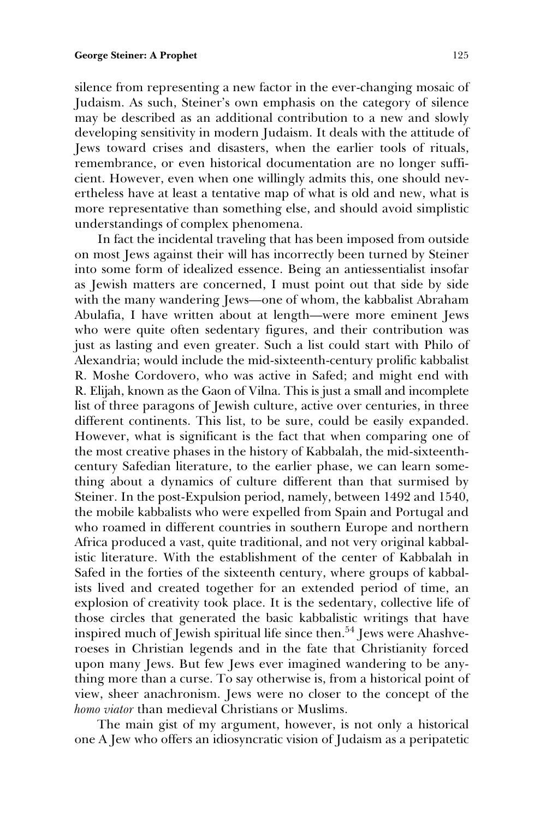silence from representing a new factor in the ever-changing mosaic of Judaism. As such, Steiner's own emphasis on the category of silence may be described as an additional contribution to a new and slowly developing sensitivity in modern Judaism. It deals with the attitude of Jews toward crises and disasters, when the earlier tools of rituals, remembrance, or even historical documentation are no longer sufficient. However, even when one willingly admits this, one should nevertheless have at least a tentative map of what is old and new, what is more representative than something else, and should avoid simplistic understandings of complex phenomena.

In fact the incidental traveling that has been imposed from outside on most Jews against their will has incorrectly been turned by Steiner into some form of idealized essence. Being an antiessentialist insofar as Jewish matters are concerned, I must point out that side by side with the many wandering Jews—one of whom, the kabbalist Abraham Abulafia, I have written about at length—were more eminent Jews who were quite often sedentary figures, and their contribution was just as lasting and even greater. Such a list could start with Philo of Alexandria; would include the mid-sixteenth-century prolific kabbalist R. Moshe Cordovero, who was active in Safed; and might end with R. Elijah, known as the Gaon of Vilna. This is just a small and incomplete list of three paragons of Jewish culture, active over centuries, in three different continents. This list, to be sure, could be easily expanded. However, what is significant is the fact that when comparing one of the most creative phases in the history of Kabbalah, the mid-sixteenthcentury Safedian literature, to the earlier phase, we can learn something about a dynamics of culture different than that surmised by Steiner. In the post-Expulsion period, namely, between 1492 and 1540, the mobile kabbalists who were expelled from Spain and Portugal and who roamed in different countries in southern Europe and northern Africa produced a vast, quite traditional, and not very original kabbalistic literature. With the establishment of the center of Kabbalah in Safed in the forties of the sixteenth century, where groups of kabbalists lived and created together for an extended period of time, an explosion of creativity took place. It is the sedentary, collective life of those circles that generated the basic kabbalistic writings that have inspired much of Jewish spiritual life since then.<sup>54</sup> Jews were Ahashveroeses in Christian legends and in the fate that Christianity forced upon many Jews. But few Jews ever imagined wandering to be anything more than a curse. To say otherwise is, from a historical point of view, sheer anachronism. Jews were no closer to the concept of the *homo viator* than medieval Christians or Muslims.

The main gist of my argument, however, is not only a historical one A Jew who offers an idiosyncratic vision of Judaism as a peripatetic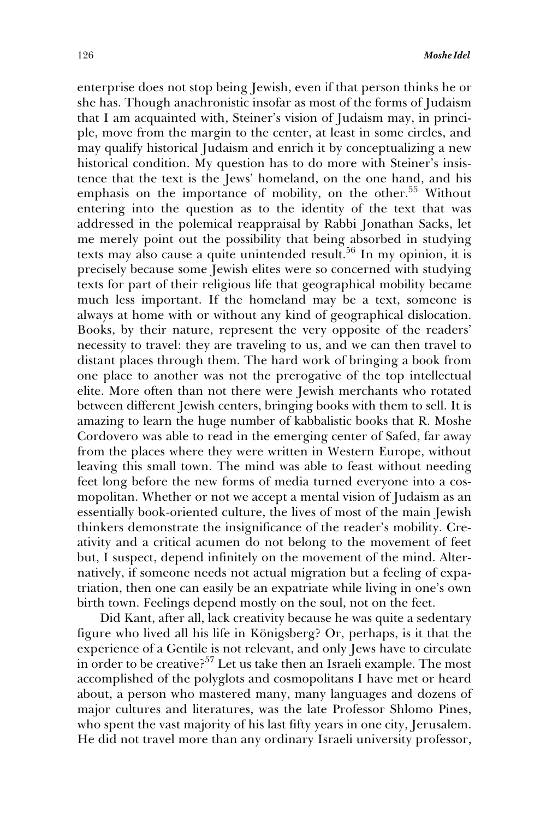enterprise does not stop being Jewish, even if that person thinks he or she has. Though anachronistic insofar as most of the forms of Judaism that I am acquainted with, Steiner's vision of Judaism may, in principle, move from the margin to the center, at least in some circles, and may qualify historical Judaism and enrich it by conceptualizing a new historical condition. My question has to do more with Steiner's insistence that the text is the Jews' homeland, on the one hand, and his emphasis on the importance of mobility, on the other.<sup>55</sup> Without entering into the question as to the identity of the text that was addressed in the polemical reappraisal by Rabbi Jonathan Sacks, let me merely point out the possibility that being absorbed in studying texts may also cause a quite unintended result.<sup>56</sup> In my opinion, it is precisely because some Jewish elites were so concerned with studying texts for part of their religious life that geographical mobility became much less important. If the homeland may be a text, someone is always at home with or without any kind of geographical dislocation. Books, by their nature, represent the very opposite of the readers' necessity to travel: they are traveling to us, and we can then travel to distant places through them. The hard work of bringing a book from one place to another was not the prerogative of the top intellectual elite. More often than not there were Jewish merchants who rotated between different Jewish centers, bringing books with them to sell. It is amazing to learn the huge number of kabbalistic books that R. Moshe Cordovero was able to read in the emerging center of Safed, far away from the places where they were written in Western Europe, without leaving this small town. The mind was able to feast without needing feet long before the new forms of media turned everyone into a cosmopolitan. Whether or not we accept a mental vision of Judaism as an essentially book-oriented culture, the lives of most of the main Jewish thinkers demonstrate the insignificance of the reader's mobility. Creativity and a critical acumen do not belong to the movement of feet but, I suspect, depend infinitely on the movement of the mind. Alternatively, if someone needs not actual migration but a feeling of expatriation, then one can easily be an expatriate while living in one's own birth town. Feelings depend mostly on the soul, not on the feet.

Did Kant, after all, lack creativity because he was quite a sedentary figure who lived all his life in Königsberg? Or, perhaps, is it that the experience of a Gentile is not relevant, and only Jews have to circulate in order to be creative?57 Let us take then an Israeli example. The most accomplished of the polyglots and cosmopolitans I have met or heard about, a person who mastered many, many languages and dozens of major cultures and literatures, was the late Professor Shlomo Pines, who spent the vast majority of his last fifty years in one city, Jerusalem. He did not travel more than any ordinary Israeli university professor,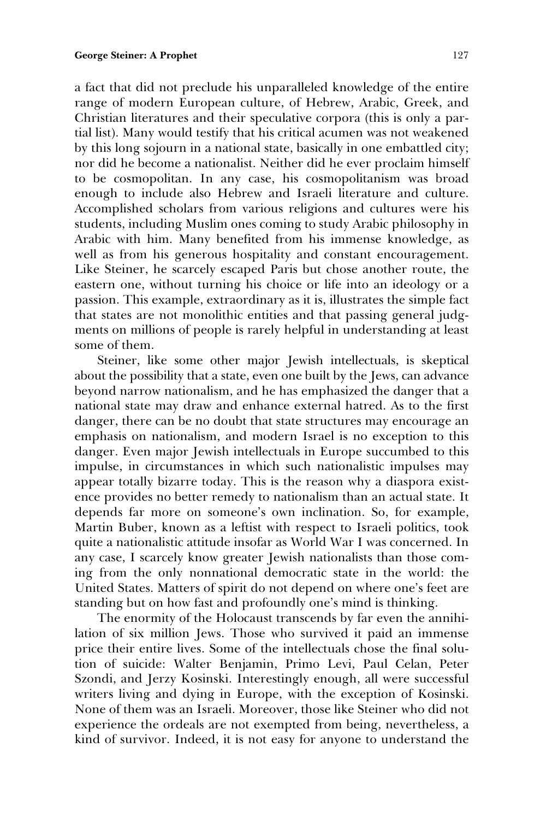a fact that did not preclude his unparalleled knowledge of the entire range of modern European culture, of Hebrew, Arabic, Greek, and Christian literatures and their speculative corpora (this is only a partial list). Many would testify that his critical acumen was not weakened by this long sojourn in a national state, basically in one embattled city; nor did he become a nationalist. Neither did he ever proclaim himself to be cosmopolitan. In any case, his cosmopolitanism was broad enough to include also Hebrew and Israeli literature and culture. Accomplished scholars from various religions and cultures were his students, including Muslim ones coming to study Arabic philosophy in Arabic with him. Many benefited from his immense knowledge, as well as from his generous hospitality and constant encouragement. Like Steiner, he scarcely escaped Paris but chose another route, the eastern one, without turning his choice or life into an ideology or a passion. This example, extraordinary as it is, illustrates the simple fact that states are not monolithic entities and that passing general judgments on millions of people is rarely helpful in understanding at least some of them.

Steiner, like some other major Jewish intellectuals, is skeptical about the possibility that a state, even one built by the Jews, can advance beyond narrow nationalism, and he has emphasized the danger that a national state may draw and enhance external hatred. As to the first danger, there can be no doubt that state structures may encourage an emphasis on nationalism, and modern Israel is no exception to this danger. Even major Jewish intellectuals in Europe succumbed to this impulse, in circumstances in which such nationalistic impulses may appear totally bizarre today. This is the reason why a diaspora existence provides no better remedy to nationalism than an actual state. It depends far more on someone's own inclination. So, for example, Martin Buber, known as a leftist with respect to Israeli politics, took quite a nationalistic attitude insofar as World War I was concerned. In any case, I scarcely know greater Jewish nationalists than those coming from the only nonnational democratic state in the world: the United States. Matters of spirit do not depend on where one's feet are standing but on how fast and profoundly one's mind is thinking.

The enormity of the Holocaust transcends by far even the annihilation of six million Jews. Those who survived it paid an immense price their entire lives. Some of the intellectuals chose the final solution of suicide: Walter Benjamin, Primo Levi, Paul Celan, Peter Szondi, and Jerzy Kosinski. Interestingly enough, all were successful writers living and dying in Europe, with the exception of Kosinski. None of them was an Israeli. Moreover, those like Steiner who did not experience the ordeals are not exempted from being, nevertheless, a kind of survivor. Indeed, it is not easy for anyone to understand the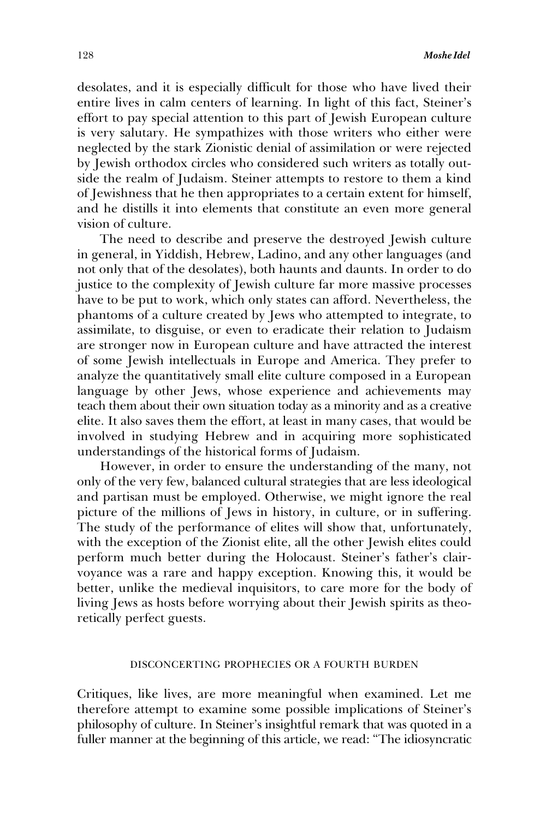desolates, and it is especially difficult for those who have lived their entire lives in calm centers of learning. In light of this fact, Steiner's effort to pay special attention to this part of Jewish European culture is very salutary. He sympathizes with those writers who either were neglected by the stark Zionistic denial of assimilation or were rejected by Jewish orthodox circles who considered such writers as totally outside the realm of Judaism. Steiner attempts to restore to them a kind of Jewishness that he then appropriates to a certain extent for himself, and he distills it into elements that constitute an even more general vision of culture.

The need to describe and preserve the destroyed Jewish culture in general, in Yiddish, Hebrew, Ladino, and any other languages (and not only that of the desolates), both haunts and daunts. In order to do justice to the complexity of Jewish culture far more massive processes have to be put to work, which only states can afford. Nevertheless, the phantoms of a culture created by Jews who attempted to integrate, to assimilate, to disguise, or even to eradicate their relation to Judaism are stronger now in European culture and have attracted the interest of some Jewish intellectuals in Europe and America. They prefer to analyze the quantitatively small elite culture composed in a European language by other Jews, whose experience and achievements may teach them about their own situation today as a minority and as a creative elite. It also saves them the effort, at least in many cases, that would be involved in studying Hebrew and in acquiring more sophisticated understandings of the historical forms of Judaism.

However, in order to ensure the understanding of the many, not only of the very few, balanced cultural strategies that are less ideological and partisan must be employed. Otherwise, we might ignore the real picture of the millions of Jews in history, in culture, or in suffering. The study of the performance of elites will show that, unfortunately, with the exception of the Zionist elite, all the other Jewish elites could perform much better during the Holocaust. Steiner's father's clairvoyance was a rare and happy exception. Knowing this, it would be better, unlike the medieval inquisitors, to care more for the body of living Jews as hosts before worrying about their Jewish spirits as theoretically perfect guests.

#### DISCONCERTING PROPHECIES OR A FOURTH BURDEN

Critiques, like lives, are more meaningful when examined. Let me therefore attempt to examine some possible implications of Steiner's philosophy of culture. In Steiner's insightful remark that was quoted in a fuller manner at the beginning of this article, we read: "The idiosyncratic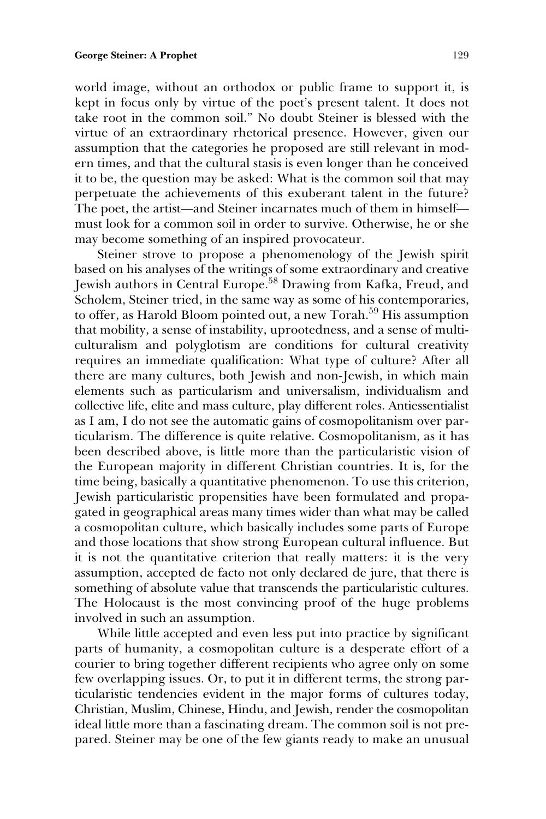world image, without an orthodox or public frame to support it, is kept in focus only by virtue of the poet's present talent. It does not take root in the common soil." No doubt Steiner is blessed with the virtue of an extraordinary rhetorical presence. However, given our assumption that the categories he proposed are still relevant in modern times, and that the cultural stasis is even longer than he conceived it to be, the question may be asked: What is the common soil that may perpetuate the achievements of this exuberant talent in the future? The poet, the artist—and Steiner incarnates much of them in himself must look for a common soil in order to survive. Otherwise, he or she may become something of an inspired provocateur.

Steiner strove to propose a phenomenology of the Jewish spirit based on his analyses of the writings of some extraordinary and creative Jewish authors in Central Europe.58 Drawing from Kafka, Freud, and Scholem, Steiner tried, in the same way as some of his contemporaries, to offer, as Harold Bloom pointed out, a new Torah.<sup>59</sup> His assumption that mobility, a sense of instability, uprootedness, and a sense of multiculturalism and polyglotism are conditions for cultural creativity requires an immediate qualification: What type of culture? After all there are many cultures, both Jewish and non-Jewish, in which main elements such as particularism and universalism, individualism and collective life, elite and mass culture, play different roles. Antiessentialist as I am, I do not see the automatic gains of cosmopolitanism over particularism. The difference is quite relative. Cosmopolitanism, as it has been described above, is little more than the particularistic vision of the European majority in different Christian countries. It is, for the time being, basically a quantitative phenomenon. To use this criterion, Jewish particularistic propensities have been formulated and propagated in geographical areas many times wider than what may be called a cosmopolitan culture, which basically includes some parts of Europe and those locations that show strong European cultural influence. But it is not the quantitative criterion that really matters: it is the very assumption, accepted de facto not only declared de jure, that there is something of absolute value that transcends the particularistic cultures. The Holocaust is the most convincing proof of the huge problems involved in such an assumption.

While little accepted and even less put into practice by significant parts of humanity, a cosmopolitan culture is a desperate effort of a courier to bring together different recipients who agree only on some few overlapping issues. Or, to put it in different terms, the strong particularistic tendencies evident in the major forms of cultures today, Christian, Muslim, Chinese, Hindu, and Jewish, render the cosmopolitan ideal little more than a fascinating dream. The common soil is not prepared. Steiner may be one of the few giants ready to make an unusual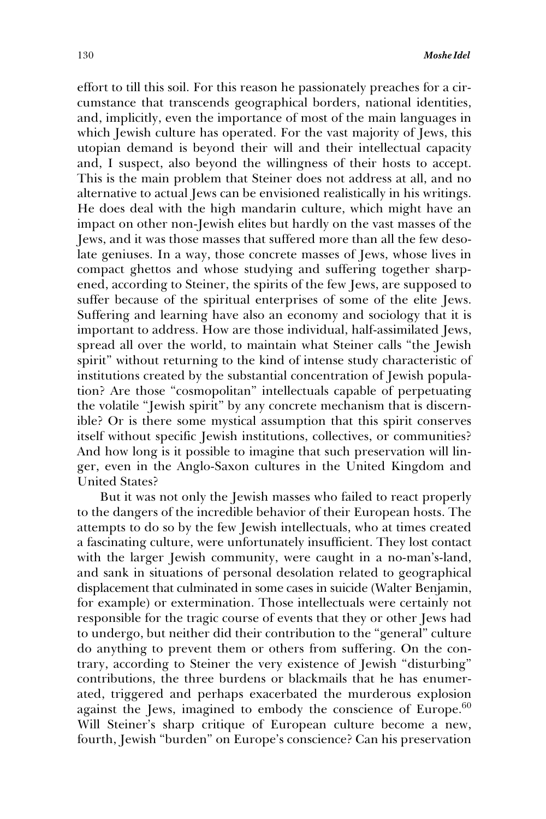effort to till this soil. For this reason he passionately preaches for a circumstance that transcends geographical borders, national identities, and, implicitly, even the importance of most of the main languages in which Jewish culture has operated. For the vast majority of Jews, this utopian demand is beyond their will and their intellectual capacity and, I suspect, also beyond the willingness of their hosts to accept. This is the main problem that Steiner does not address at all, and no alternative to actual Jews can be envisioned realistically in his writings. He does deal with the high mandarin culture, which might have an impact on other non-Jewish elites but hardly on the vast masses of the Jews, and it was those masses that suffered more than all the few desolate geniuses. In a way, those concrete masses of Jews, whose lives in compact ghettos and whose studying and suffering together sharpened, according to Steiner, the spirits of the few Jews, are supposed to suffer because of the spiritual enterprises of some of the elite Jews. Suffering and learning have also an economy and sociology that it is important to address. How are those individual, half-assimilated Jews, spread all over the world, to maintain what Steiner calls "the Jewish spirit" without returning to the kind of intense study characteristic of institutions created by the substantial concentration of Jewish population? Are those "cosmopolitan" intellectuals capable of perpetuating the volatile "Jewish spirit" by any concrete mechanism that is discernible? Or is there some mystical assumption that this spirit conserves itself without specific Jewish institutions, collectives, or communities? And how long is it possible to imagine that such preservation will linger, even in the Anglo-Saxon cultures in the United Kingdom and United States?

But it was not only the Jewish masses who failed to react properly to the dangers of the incredible behavior of their European hosts. The attempts to do so by the few Jewish intellectuals, who at times created a fascinating culture, were unfortunately insufficient. They lost contact with the larger Jewish community, were caught in a no-man's-land, and sank in situations of personal desolation related to geographical displacement that culminated in some cases in suicide (Walter Benjamin, for example) or extermination. Those intellectuals were certainly not responsible for the tragic course of events that they or other Jews had to undergo, but neither did their contribution to the "general" culture do anything to prevent them or others from suffering. On the contrary, according to Steiner the very existence of Jewish "disturbing" contributions, the three burdens or blackmails that he has enumerated, triggered and perhaps exacerbated the murderous explosion against the Jews, imagined to embody the conscience of Europe. $60$ Will Steiner's sharp critique of European culture become a new, fourth, Jewish "burden" on Europe's conscience? Can his preservation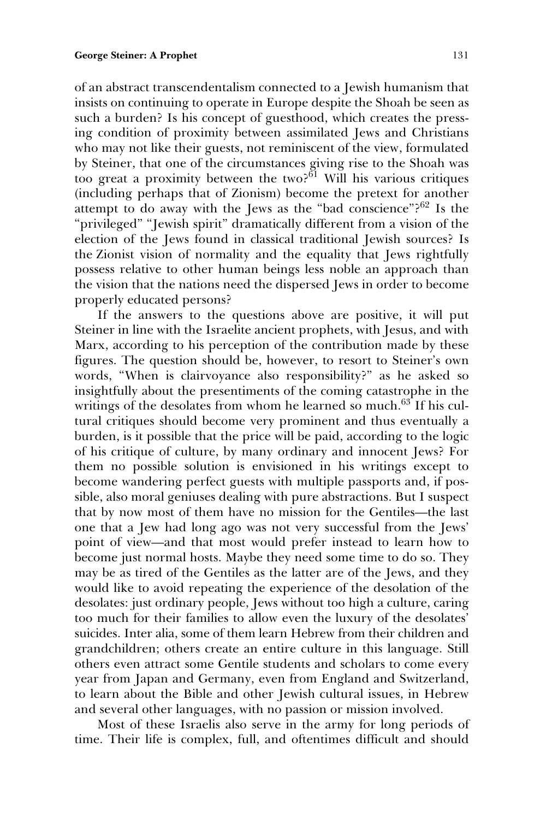of an abstract transcendentalism connected to a Jewish humanism that insists on continuing to operate in Europe despite the Shoah be seen as such a burden? Is his concept of guesthood, which creates the pressing condition of proximity between assimilated Jews and Christians who may not like their guests, not reminiscent of the view, formulated by Steiner, that one of the circumstances giving rise to the Shoah was too great a proximity between the two? $61$  Will his various critiques (including perhaps that of Zionism) become the pretext for another attempt to do away with the Jews as the "bad conscience"? $62$  Is the "privileged" "Jewish spirit" dramatically different from a vision of the election of the Jews found in classical traditional Jewish sources? Is the Zionist vision of normality and the equality that Jews rightfully possess relative to other human beings less noble an approach than the vision that the nations need the dispersed Jews in order to become properly educated persons?

If the answers to the questions above are positive, it will put Steiner in line with the Israelite ancient prophets, with Jesus, and with Marx, according to his perception of the contribution made by these figures. The question should be, however, to resort to Steiner's own words, "When is clairvoyance also responsibility?" as he asked so insightfully about the presentiments of the coming catastrophe in the writings of the desolates from whom he learned so much. $63$  If his cultural critiques should become very prominent and thus eventually a burden, is it possible that the price will be paid, according to the logic of his critique of culture, by many ordinary and innocent Jews? For them no possible solution is envisioned in his writings except to become wandering perfect guests with multiple passports and, if possible, also moral geniuses dealing with pure abstractions. But I suspect that by now most of them have no mission for the Gentiles—the last one that a Jew had long ago was not very successful from the Jews' point of view—and that most would prefer instead to learn how to become just normal hosts. Maybe they need some time to do so. They may be as tired of the Gentiles as the latter are of the Jews, and they would like to avoid repeating the experience of the desolation of the desolates: just ordinary people, Jews without too high a culture, caring too much for their families to allow even the luxury of the desolates' suicides. Inter alia, some of them learn Hebrew from their children and grandchildren; others create an entire culture in this language. Still others even attract some Gentile students and scholars to come every year from Japan and Germany, even from England and Switzerland, to learn about the Bible and other Jewish cultural issues, in Hebrew and several other languages, with no passion or mission involved.

Most of these Israelis also serve in the army for long periods of time. Their life is complex, full, and oftentimes difficult and should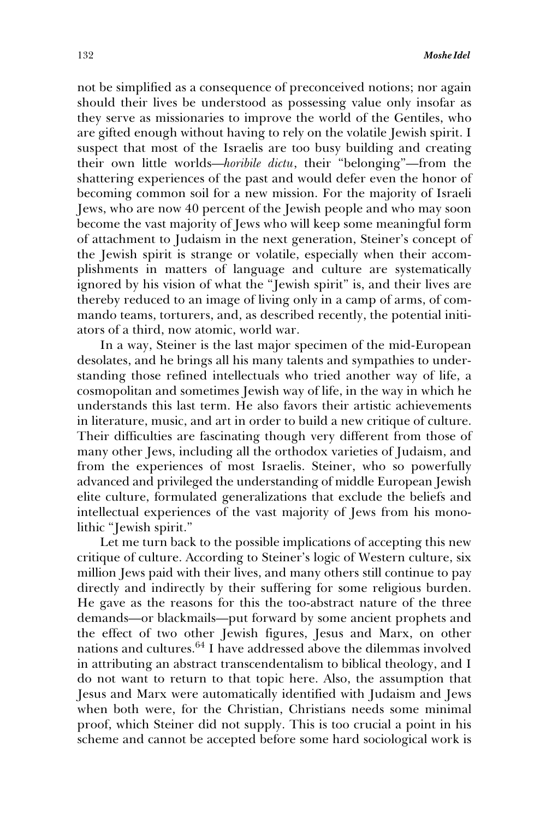not be simplified as a consequence of preconceived notions; nor again should their lives be understood as possessing value only insofar as they serve as missionaries to improve the world of the Gentiles, who are gifted enough without having to rely on the volatile Jewish spirit. I suspect that most of the Israelis are too busy building and creating their own little worlds—*horibile dictu*, their "belonging"—from the shattering experiences of the past and would defer even the honor of becoming common soil for a new mission. For the majority of Israeli Jews, who are now 40 percent of the Jewish people and who may soon become the vast majority of Jews who will keep some meaningful form of attachment to Judaism in the next generation, Steiner's concept of the Jewish spirit is strange or volatile, especially when their accomplishments in matters of language and culture are systematically ignored by his vision of what the "Jewish spirit" is, and their lives are thereby reduced to an image of living only in a camp of arms, of commando teams, torturers, and, as described recently, the potential initiators of a third, now atomic, world war.

In a way, Steiner is the last major specimen of the mid-European desolates, and he brings all his many talents and sympathies to understanding those refined intellectuals who tried another way of life, a cosmopolitan and sometimes Jewish way of life, in the way in which he understands this last term. He also favors their artistic achievements in literature, music, and art in order to build a new critique of culture. Their difficulties are fascinating though very different from those of many other Jews, including all the orthodox varieties of Judaism, and from the experiences of most Israelis. Steiner, who so powerfully advanced and privileged the understanding of middle European Jewish elite culture, formulated generalizations that exclude the beliefs and intellectual experiences of the vast majority of Jews from his monolithic "Jewish spirit."

Let me turn back to the possible implications of accepting this new critique of culture. According to Steiner's logic of Western culture, six million Jews paid with their lives, and many others still continue to pay directly and indirectly by their suffering for some religious burden. He gave as the reasons for this the too-abstract nature of the three demands—or blackmails—put forward by some ancient prophets and the effect of two other Jewish figures, Jesus and Marx, on other nations and cultures.64 I have addressed above the dilemmas involved in attributing an abstract transcendentalism to biblical theology, and I do not want to return to that topic here. Also, the assumption that Jesus and Marx were automatically identified with Judaism and Jews when both were, for the Christian, Christians needs some minimal proof, which Steiner did not supply. This is too crucial a point in his scheme and cannot be accepted before some hard sociological work is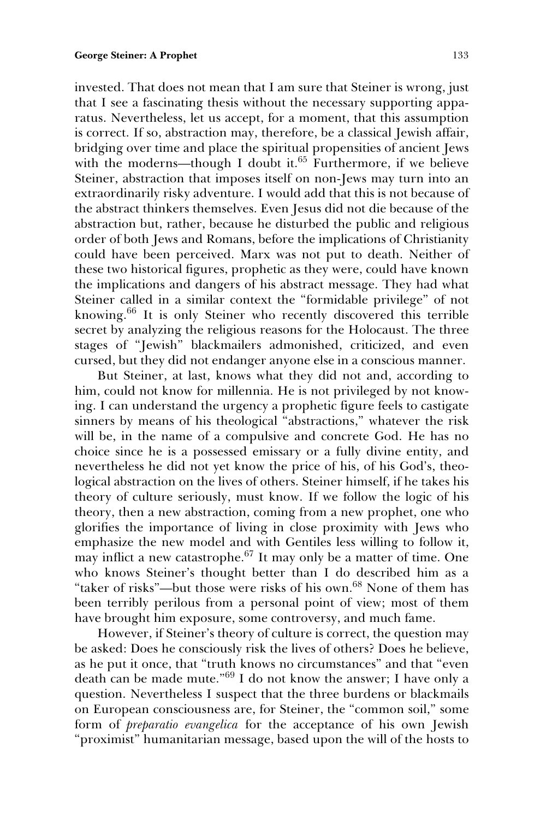invested. That does not mean that I am sure that Steiner is wrong, just that I see a fascinating thesis without the necessary supporting apparatus. Nevertheless, let us accept, for a moment, that this assumption is correct. If so, abstraction may, therefore, be a classical Jewish affair, bridging over time and place the spiritual propensities of ancient Jews with the moderns—though I doubt it. $65$  Furthermore, if we believe Steiner, abstraction that imposes itself on non-Jews may turn into an extraordinarily risky adventure. I would add that this is not because of the abstract thinkers themselves. Even Jesus did not die because of the abstraction but, rather, because he disturbed the public and religious order of both Jews and Romans, before the implications of Christianity could have been perceived. Marx was not put to death. Neither of these two historical figures, prophetic as they were, could have known the implications and dangers of his abstract message. They had what Steiner called in a similar context the "formidable privilege" of not knowing.66 It is only Steiner who recently discovered this terrible secret by analyzing the religious reasons for the Holocaust. The three stages of "Jewish" blackmailers admonished, criticized, and even cursed, but they did not endanger anyone else in a conscious manner.

But Steiner, at last, knows what they did not and, according to him, could not know for millennia. He is not privileged by not knowing. I can understand the urgency a prophetic figure feels to castigate sinners by means of his theological "abstractions," whatever the risk will be, in the name of a compulsive and concrete God. He has no choice since he is a possessed emissary or a fully divine entity, and nevertheless he did not yet know the price of his, of his God's, theological abstraction on the lives of others. Steiner himself, if he takes his theory of culture seriously, must know. If we follow the logic of his theory, then a new abstraction, coming from a new prophet, one who glorifies the importance of living in close proximity with Jews who emphasize the new model and with Gentiles less willing to follow it, may inflict a new catastrophe.<sup>67</sup> It may only be a matter of time. One who knows Steiner's thought better than I do described him as a "taker of risks"—but those were risks of his own.<sup>68</sup> None of them has been terribly perilous from a personal point of view; most of them have brought him exposure, some controversy, and much fame.

However, if Steiner's theory of culture is correct, the question may be asked: Does he consciously risk the lives of others? Does he believe, as he put it once, that "truth knows no circumstances" and that "even death can be made mute."69 I do not know the answer; I have only a question. Nevertheless I suspect that the three burdens or blackmails on European consciousness are, for Steiner, the "common soil," some form of *preparatio evangelica* for the acceptance of his own Jewish "proximist" humanitarian message, based upon the will of the hosts to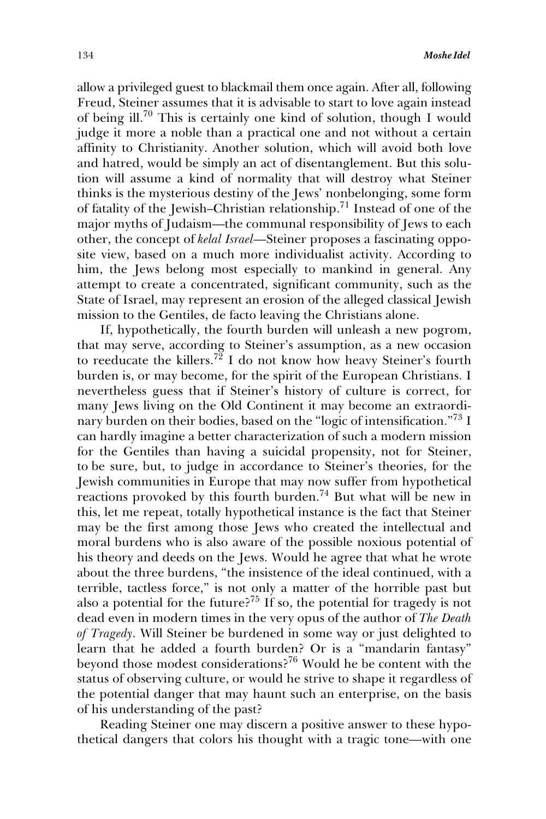allow a privileged guest to blackmail them once again. After all, following Freud, Steiner assumes that it is advisable to start to love again instead of being ill.<sup>70</sup> This is certainly one kind of solution, though I would judge it more a noble than a practical one and not without a certain affinity to Christianity. Another solution, which will avoid both love and hatred, would be simply an act of disentanglement. But this solution will assume a kind of normality that will destroy what Steiner thinks is the mysterious destiny of the Jews' nonbelonging, some form of fatality of the Jewish–Christian relationship.71 Instead of one of the major myths of Judaism—the communal responsibility of Jews to each other, the concept of *kelal Israel*—Steiner proposes a fascinating opposite view, based on a much more individualist activity. According to him, the Jews belong most especially to mankind in general. Any attempt to create a concentrated, significant community, such as the State of Israel, may represent an erosion of the alleged classical Jewish mission to the Gentiles, de facto leaving the Christians alone.

If, hypothetically, the fourth burden will unleash a new pogrom, that may serve, according to Steiner's assumption, as a new occasion to reeducate the killers.<sup>72</sup> I do not know how heavy Steiner's fourth burden is, or may become, for the spirit of the European Christians. I nevertheless guess that if Steiner's history of culture is correct, for many Jews living on the Old Continent it may become an extraordinary burden on their bodies, based on the "logic of intensification."73 I can hardly imagine a better characterization of such a modern mission for the Gentiles than having a suicidal propensity, not for Steiner, to be sure, but, to judge in accordance to Steiner's theories, for the Jewish communities in Europe that may now suffer from hypothetical reactions provoked by this fourth burden.<sup>74</sup> But what will be new in this, let me repeat, totally hypothetical instance is the fact that Steiner may be the first among those Jews who created the intellectual and moral burdens who is also aware of the possible noxious potential of his theory and deeds on the Jews. Would he agree that what he wrote about the three burdens, "the insistence of the ideal continued, with a terrible, tactless force," is not only a matter of the horrible past but also a potential for the future?<sup>75</sup> If so, the potential for tragedy is not dead even in modern times in the very opus of the author of *The Death of Tragedy*. Will Steiner be burdened in some way or just delighted to learn that he added a fourth burden? Or is a "mandarin fantasy" beyond those modest considerations?<sup>76</sup> Would he be content with the status of observing culture, or would he strive to shape it regardless of the potential danger that may haunt such an enterprise, on the basis of his understanding of the past?

Reading Steiner one may discern a positive answer to these hypothetical dangers that colors his thought with a tragic tone—with one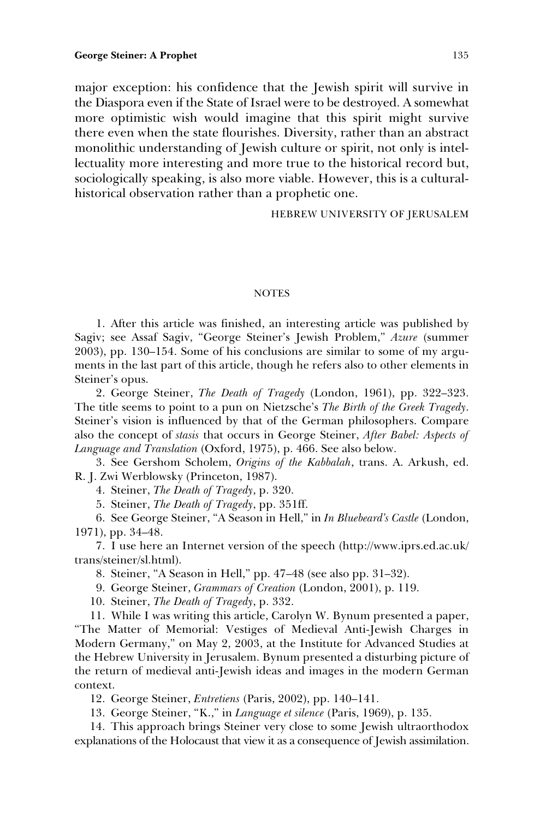major exception: his confidence that the Jewish spirit will survive in the Diaspora even if the State of Israel were to be destroyed. A somewhat more optimistic wish would imagine that this spirit might survive there even when the state flourishes. Diversity, rather than an abstract monolithic understanding of Jewish culture or spirit, not only is intellectuality more interesting and more true to the historical record but, sociologically speaking, is also more viable. However, this is a culturalhistorical observation rather than a prophetic one.

#### HEBREW UNIVERSITY OF JERUSALEM

#### **NOTES**

1. After this article was finished, an interesting article was published by Sagiv; see Assaf Sagiv, "George Steiner's Jewish Problem," *Azure* (summer 2003), pp. 130–154. Some of his conclusions are similar to some of my arguments in the last part of this article, though he refers also to other elements in Steiner's opus.

2. George Steiner, *The Death of Tragedy* (London, 1961), pp. 322–323. The title seems to point to a pun on Nietzsche's *The Birth of the Greek Tragedy*. Steiner's vision is influenced by that of the German philosophers. Compare also the concept of *stasis* that occurs in George Steiner, *After Babel: Aspects of Language and Translation* (Oxford, 1975), p. 466. See also below.

3. See Gershom Scholem, *Origins of the Kabbalah*, trans. A. Arkush, ed. R. J. Zwi Werblowsky (Princeton, 1987).

4. Steiner, *The Death of Tragedy*, p. 320.

5. Steiner, *The Death of Tragedy*, pp. 351ff.

6. See George Steiner, "A Season in Hell," in *In Bluebeard's Castle* (London, 1971), pp. 34–48.

7. I use here an Internet version of the speech [\(http://www.iprs.ed.ac.uk/](http://www.iprs.ed.ac.uk/trans/steiner/sl.html) [trans/steiner/sl.html\).](http://www.iprs.ed.ac.uk/trans/steiner/sl.html) 

8. Steiner, "A Season in Hell," pp. 47–48 (see also pp. 31–32).

9. George Steiner, *Grammars of Creation* (London, 2001), p. 119.

10. Steiner, *The Death of Tragedy*, p. 332.

11. While I was writing this article, Carolyn W. Bynum presented a paper, "The Matter of Memorial: Vestiges of Medieval Anti-Jewish Charges in Modern Germany," on May 2, 2003, at the Institute for Advanced Studies at the Hebrew University in Jerusalem. Bynum presented a disturbing picture of the return of medieval anti-Jewish ideas and images in the modern German context.

12. George Steiner, *Entretiens* (Paris, 2002), pp. 140–141.

13. George Steiner, "K.," in *Language et silence* (Paris, 1969), p. 135.

14. This approach brings Steiner very close to some Jewish ultraorthodox explanations of the Holocaust that view it as a consequence of Jewish assimilation.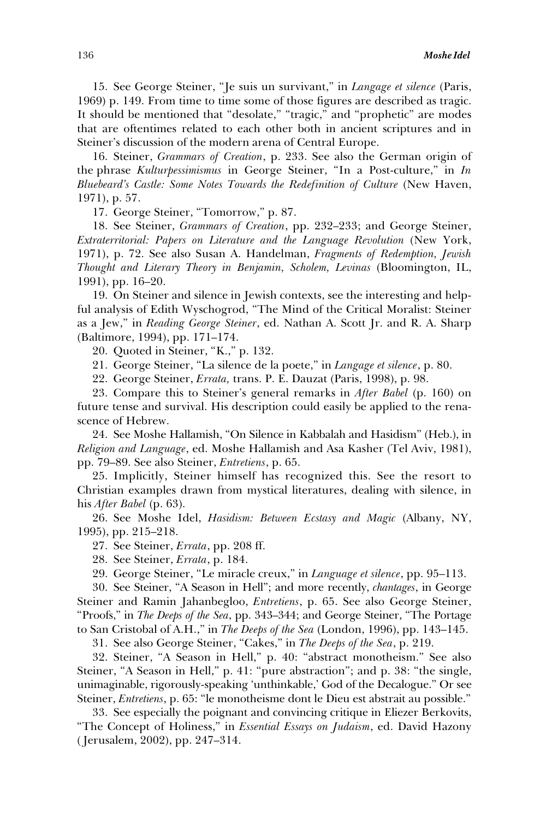15. See George Steiner, "Je suis un survivant," in *Langage et silence* (Paris, 1969) p. 149. From time to time some of those figures are described as tragic. It should be mentioned that "desolate," "tragic," and "prophetic" are modes that are oftentimes related to each other both in ancient scriptures and in Steiner's discussion of the modern arena of Central Europe.

16. Steiner, *Grammars of Creation*, p. 233. See also the German origin of the phrase *Kulturpessimismus* in George Steiner, "In a Post-culture," in *In Bluebeard's Castle: Some Notes Towards the Redefinition of Culture* (New Haven, 1971), p. 57.

17. George Steiner, "Tomorrow," p. 87.

18. See Steiner, *Grammars of Creation*, pp. 232–233; and George Steiner, *Extraterritorial: Papers on Literature and the Language Revolution* (New York, 1971), p. 72. See also Susan A. Handelman, *Fragments of Redemption, Jewish Thought and Literary Theory in Benjamin, Scholem, Levinas* (Bloomington, IL, 1991), pp. 16–20.

19. On Steiner and silence in Jewish contexts, see the interesting and helpful analysis of Edith Wyschogrod, "The Mind of the Critical Moralist: Steiner as a Jew," in *Reading George Steiner*, ed. Nathan A. Scott Jr. and R. A. Sharp (Baltimore, 1994), pp. 171–174.

20. Quoted in Steiner, "K.," p. 132.

21. George Steiner, "La silence de la poete," in *Langage et silence*, p. 80.

22. George Steiner, *Errata,* trans. P. E. Dauzat (Paris, 1998), p. 98.

23. Compare this to Steiner's general remarks in *After Babel* (p. 160) on future tense and survival. His description could easily be applied to the renascence of Hebrew.

24. See Moshe Hallamish, "On Silence in Kabbalah and Hasidism" (Heb.), in *Religion and Language*, ed. Moshe Hallamish and Asa Kasher (Tel Aviv, 1981), pp. 79–89. See also Steiner, *Entretiens*, p. 65.

25. Implicitly, Steiner himself has recognized this. See the resort to Christian examples drawn from mystical literatures, dealing with silence, in his *After Babel* (p. 63).

26. See Moshe Idel, *Hasidism: Between Ecstasy and Magic* (Albany, NY, 1995), pp. 215–218.

27. See Steiner, *Errata*, pp. 208 ff.

28. See Steiner, *Errata*, p. 184.

29. George Steiner, "Le miracle creux," in *Language et silence*, pp. 95–113.

30. See Steiner, "A Season in Hell"; and more recently, *chantages*, in George Steiner and Ramin Jahanbegloo, *Entretiens*, p. 65. See also George Steiner, "Proofs," in *The Deeps of the Sea*, pp. 343–344; and George Steiner, "The Portage to San Cristobal of A.H.," in *The Deeps of the Sea* (London, 1996), pp. 143–145.

31. See also George Steiner, "Cakes," in *The Deeps of the Sea*, p. 219.

32. Steiner, "A Season in Hell," p. 40: "abstract monotheism." See also Steiner, "A Season in Hell," p. 41: "pure abstraction"; and p. 38: "the single, unimaginable, rigorously-speaking 'unthinkable,' God of the Decalogue." Or see Steiner, *Entretiens*, p. 65: "le monotheisme dont le Dieu est abstrait au possible."

33. See especially the poignant and convincing critique in Eliezer Berkovits, "The Concept of Holiness," in *Essential Essays on Judaism*, ed. David Hazony ( Jerusalem, 2002), pp. 247–314.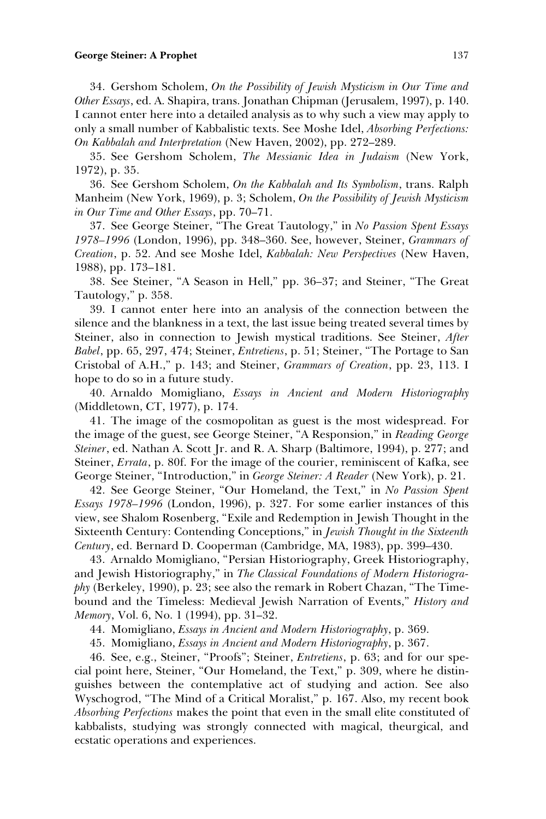#### **George Steiner: A Prophet** 137

34. Gershom Scholem, *On the Possibility of Jewish Mysticism in Our Time and Other Essays*, ed. A. Shapira, trans. Jonathan Chipman (Jerusalem, 1997), p. 140. I cannot enter here into a detailed analysis as to why such a view may apply to only a small number of Kabbalistic texts. See Moshe Idel, *Absorbing Perfections: On Kabbalah and Interpretation* (New Haven, 2002), pp. 272–289.

35. See Gershom Scholem, *The Messianic Idea in Judaism* (New York, 1972), p. 35.

36. See Gershom Scholem, *On the Kabbalah and Its Symbolism*, trans. Ralph Manheim (New York, 1969), p. 3; Scholem, *On the Possibility of Jewish Mysticism in Our Time and Other Essays*, pp. 70–71.

37. See George Steiner, "The Great Tautology," in *No Passion Spent Essays 1978–1996* (London, 1996), pp. 348–360. See, however, Steiner, *Grammars of Creation*, p. 52. And see Moshe Idel, *Kabbalah: New Perspectives* (New Haven, 1988), pp. 173–181.

38. See Steiner, "A Season in Hell," pp. 36–37; and Steiner, "The Great Tautology," p. 358.

39. I cannot enter here into an analysis of the connection between the silence and the blankness in a text, the last issue being treated several times by Steiner, also in connection to Jewish mystical traditions. See Steiner, *After Babel*, pp. 65, 297, 474; Steiner, *Entretiens*, p. 51; Steiner, "The Portage to San Cristobal of A.H.," p. 143; and Steiner, *Grammars of Creation*, pp. 23, 113. I hope to do so in a future study.

40. Arnaldo Momigliano, *Essays in Ancient and Modern Historiography* (Middletown, CT, 1977), p. 174.

41. The image of the cosmopolitan as guest is the most widespread. For the image of the guest, see George Steiner, "A Responsion," in *Reading George Steiner*, ed. Nathan A. Scott Jr. and R. A. Sharp (Baltimore, 1994), p. 277; and Steiner, *Errata*, p. 80f. For the image of the courier, reminiscent of Kafka, see George Steiner, "Introduction," in *George Steiner: A Reader* (New York), p. 21.

42. See George Steiner, "Our Homeland, the Text," in *No Passion Spent Essays 1978–1996* (London, 1996), p. 327. For some earlier instances of this view, see Shalom Rosenberg, "Exile and Redemption in Jewish Thought in the Sixteenth Century: Contending Conceptions," in *Jewish Thought in the Sixteenth Century*, ed. Bernard D. Cooperman (Cambridge, MA, 1983), pp. 399–430.

43. Arnaldo Momigliano, "Persian Historiography, Greek Historiography, and Jewish Historiography," in *The Classical Foundations of Modern Historiography* (Berkeley, 1990), p. 23; see also the remark in Robert Chazan, "The Timebound and the Timeless: Medieval Jewish Narration of Events," *History and Memory*, Vol. 6, No. 1 (1994), pp. 31–32.

44. Momigliano, *Essays in Ancient and Modern Historiography*, p. 369.

45. Momigliano, *Essays in Ancient and Modern Historiography*, p. 367.

46. See, e.g., Steiner, "Proofs"; Steiner, *Entretiens*, p. 63; and for our special point here, Steiner, "Our Homeland, the Text," p. 309, where he distinguishes between the contemplative act of studying and action. See also Wyschogrod, "The Mind of a Critical Moralist," p. 167. Also, my recent book *Absorbing Perfections* makes the point that even in the small elite constituted of kabbalists, studying was strongly connected with magical, theurgical, and ecstatic operations and experiences.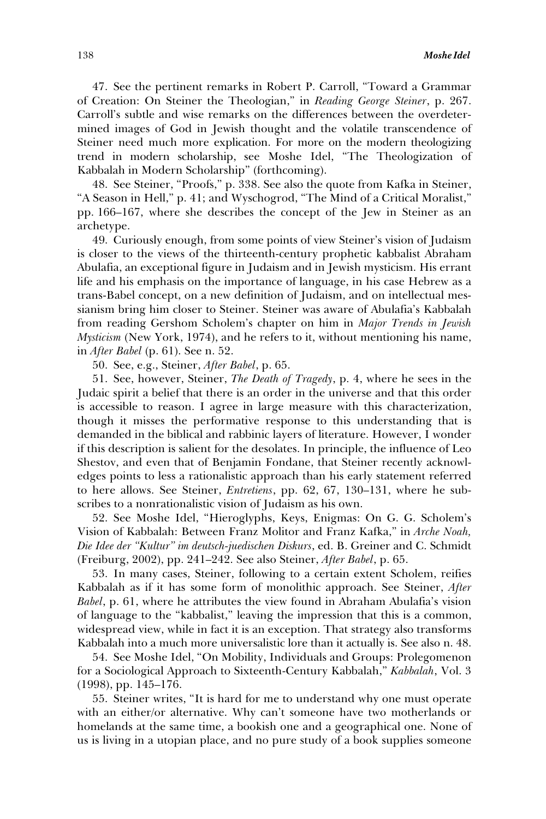47. See the pertinent remarks in Robert P. Carroll, "Toward a Grammar of Creation: On Steiner the Theologian," in *Reading George Steiner*, p. 267. Carroll's subtle and wise remarks on the differences between the overdetermined images of God in Jewish thought and the volatile transcendence of Steiner need much more explication. For more on the modern theologizing trend in modern scholarship, see Moshe Idel, "The Theologization of Kabbalah in Modern Scholarship" (forthcoming).

48. See Steiner, "Proofs," p. 338. See also the quote from Kafka in Steiner, "A Season in Hell," p. 41; and Wyschogrod, "The Mind of a Critical Moralist," pp. 166–167, where she describes the concept of the Jew in Steiner as an archetype.

49. Curiously enough, from some points of view Steiner's vision of Judaism is closer to the views of the thirteenth-century prophetic kabbalist Abraham Abulafia, an exceptional figure in Judaism and in Jewish mysticism. His errant life and his emphasis on the importance of language, in his case Hebrew as a trans-Babel concept, on a new definition of Judaism, and on intellectual messianism bring him closer to Steiner. Steiner was aware of Abulafia's Kabbalah from reading Gershom Scholem's chapter on him in *Major Trends in Jewish Mysticism* (New York, 1974), and he refers to it, without mentioning his name, in *After Babel* (p. 61). See n. 52.

50. See, e.g., Steiner, *After Babel*, p. 65.

51. See, however, Steiner, *The Death of Tragedy*, p. 4, where he sees in the Judaic spirit a belief that there is an order in the universe and that this order is accessible to reason. I agree in large measure with this characterization, though it misses the performative response to this understanding that is demanded in the biblical and rabbinic layers of literature. However, I wonder if this description is salient for the desolates. In principle, the influence of Leo Shestov, and even that of Benjamin Fondane, that Steiner recently acknowledges points to less a rationalistic approach than his early statement referred to here allows. See Steiner, *Entretiens*, pp. 62, 67, 130–131, where he subscribes to a nonrationalistic vision of Judaism as his own.

52. See Moshe Idel, "Hieroglyphs, Keys, Enigmas: On G. G. Scholem's Vision of Kabbalah: Between Franz Molitor and Franz Kafka," in *Arche Noah, Die Idee der "Kultur" im deutsch-juedischen Diskurs*, ed. B. Greiner and C. Schmidt (Freiburg, 2002), pp. 241–242. See also Steiner, *After Babel*, p. 65.

53. In many cases, Steiner, following to a certain extent Scholem, reifies Kabbalah as if it has some form of monolithic approach. See Steiner, *After Babel*, p. 61, where he attributes the view found in Abraham Abulafia's vision of language to the "kabbalist," leaving the impression that this is a common, widespread view, while in fact it is an exception. That strategy also transforms Kabbalah into a much more universalistic lore than it actually is. See also n. 48.

54. See Moshe Idel, "On Mobility, Individuals and Groups: Prolegomenon for a Sociological Approach to Sixteenth-Century Kabbalah," *Kabbalah*, Vol. 3 (1998), pp. 145–176.

55. Steiner writes, "It is hard for me to understand why one must operate with an either/or alternative. Why can't someone have two motherlands or homelands at the same time, a bookish one and a geographical one. None of us is living in a utopian place, and no pure study of a book supplies someone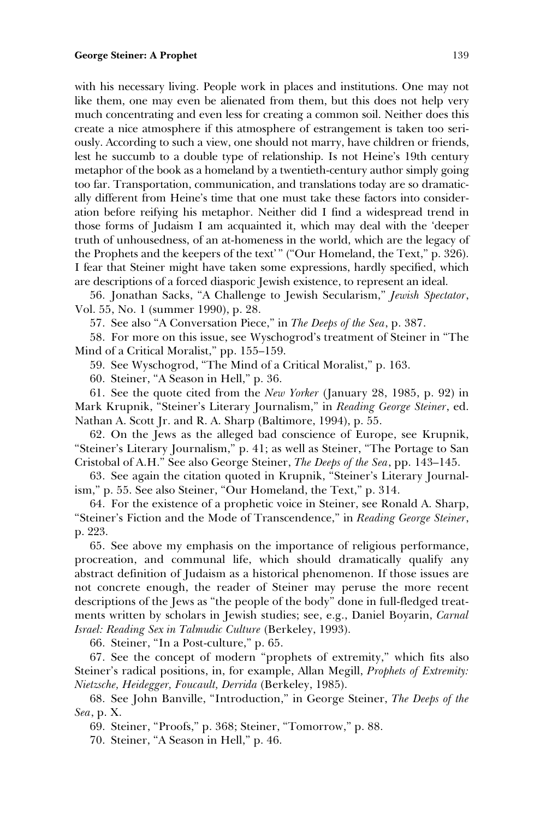with his necessary living. People work in places and institutions. One may not like them, one may even be alienated from them, but this does not help very much concentrating and even less for creating a common soil. Neither does this create a nice atmosphere if this atmosphere of estrangement is taken too seriously. According to such a view, one should not marry, have children or friends, lest he succumb to a double type of relationship. Is not Heine's 19th century metaphor of the book as a homeland by a twentieth-century author simply going too far. Transportation, communication, and translations today are so dramatically different from Heine's time that one must take these factors into consideration before reifying his metaphor. Neither did I find a widespread trend in those forms of Judaism I am acquainted it, which may deal with the 'deeper truth of unhousedness, of an at-homeness in the world, which are the legacy of the Prophets and the keepers of the text'" ("Our Homeland, the Text," p. 326). I fear that Steiner might have taken some expressions, hardly specified, which are descriptions of a forced diasporic Jewish existence, to represent an ideal.

56. Jonathan Sacks, "A Challenge to Jewish Secularism," *Jewish Spectator*, Vol. 55, No. 1 (summer 1990), p. 28.

57. See also "A Conversation Piece," in *The Deeps of the Sea*, p. 387.

58. For more on this issue, see Wyschogrod's treatment of Steiner in "The Mind of a Critical Moralist," pp. 155–159.

59. See Wyschogrod, "The Mind of a Critical Moralist," p. 163.

60. Steiner, "A Season in Hell," p. 36.

61. See the quote cited from the *New Yorker* (January 28, 1985, p. 92) in Mark Krupnik, "Steiner's Literary Journalism," in *Reading George Steiner*, ed. Nathan A. Scott Jr. and R. A. Sharp (Baltimore, 1994), p. 55.

62. On the Jews as the alleged bad conscience of Europe, see Krupnik, "Steiner's Literary Journalism," p. 41; as well as Steiner, "The Portage to San Cristobal of A.H." See also George Steiner, *The Deeps of the Sea*, pp. 143–145.

63. See again the citation quoted in Krupnik, "Steiner's Literary Journalism," p. 55. See also Steiner, "Our Homeland, the Text," p. 314.

64. For the existence of a prophetic voice in Steiner, see Ronald A. Sharp, "Steiner's Fiction and the Mode of Transcendence," in *Reading George Steiner*, p. 223.

65. See above my emphasis on the importance of religious performance, procreation, and communal life, which should dramatically qualify any abstract definition of Judaism as a historical phenomenon. If those issues are not concrete enough, the reader of Steiner may peruse the more recent descriptions of the Jews as "the people of the body" done in full-fledged treatments written by scholars in Jewish studies; see, e.g., Daniel Boyarin, *Carnal Israel: Reading Sex in Talmudic Culture* (Berkeley, 1993).

66. Steiner, "In a Post-culture," p. 65.

67. See the concept of modern "prophets of extremity," which fits also Steiner's radical positions, in, for example, Allan Megill, *Prophets of Extremity: Nietzsche, Heidegger, Foucault, Derrida* (Berkeley, 1985).

68. See John Banville, "Introduction," in George Steiner, *The Deeps of the Sea*, p. X.

69. Steiner, "Proofs," p. 368; Steiner, "Tomorrow," p. 88.

70. Steiner, "A Season in Hell," p. 46.